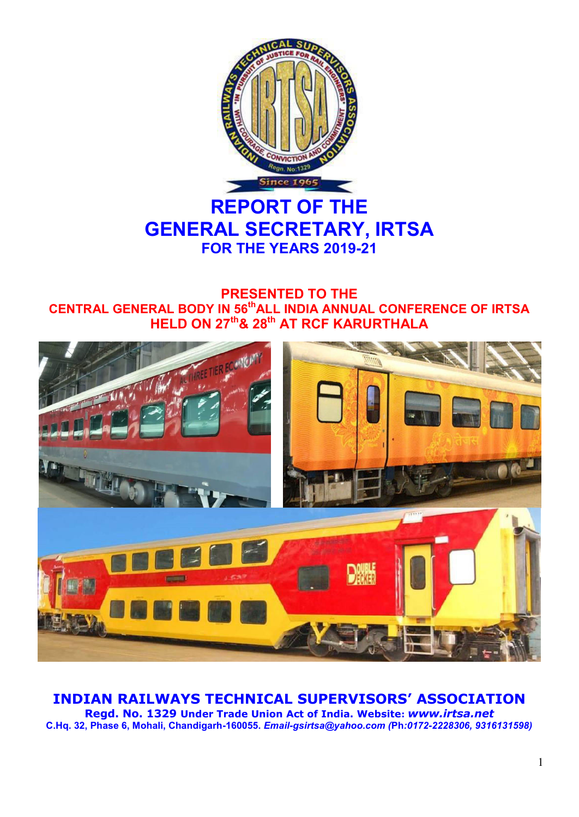

# **REPORT OF THE GENERAL SECRETARY, IRTSA FOR THE YEARS 2019-21**

# **PRESENTED TO THE CENTRAL GENERAL BODY IN 56thALL INDIA ANNUAL CONFERENCE OF IRTSA HELD ON 27th& 28th AT RCF KARURTHALA**



# **INDIAN RAILWAYS TECHNICAL SUPERVISORS' ASSOCIATION**

**Regd. No. 1329 Under Trade Union Act of India. Website:** *www.irtsa.net*  **C.Hq. 32, Phase 6, Mohali, Chandigarh-160055.** *Email-gsirtsa@yahoo.com (***Ph***:0172-2228306, 9316131598)*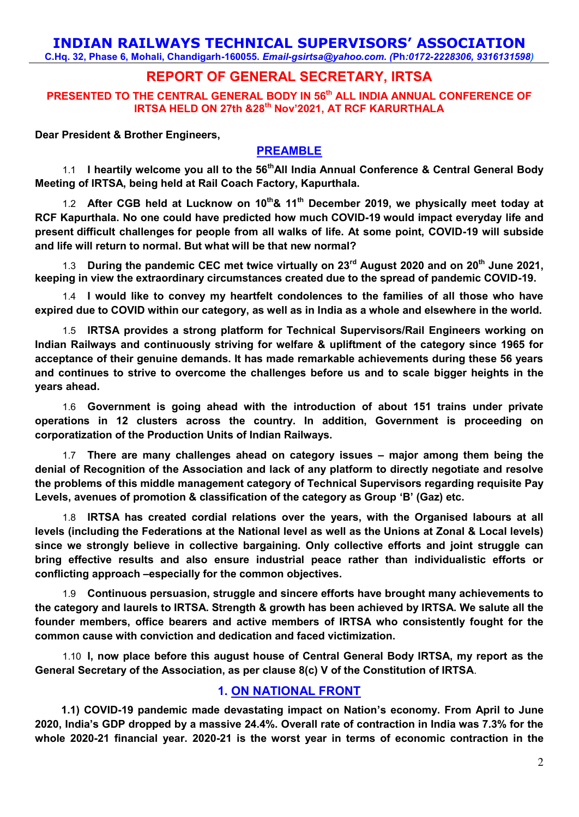# **INDIAN RAILWAYS TECHNICAL SUPERVISORS' ASSOCIATION**

**C.Hq. 32, Phase 6, Mohali, Chandigarh-160055.** *Email-gsirtsa@yahoo.com. (***Ph***:0172-2228306, 9316131598)*

# **REPORT OF GENERAL SECRETARY, IRTSA**

**PRESENTED TO THE CENTRAL GENERAL BODY IN 56th ALL INDIA ANNUAL CONFERENCE OF IRTSA HELD ON 27th &28th Nov'2021, AT RCF KARURTHALA**

**Dear President & Brother Engineers,** 

#### **PREAMBLE**

1.1 **I heartily welcome you all to the 56thAll India Annual Conference & Central General Body Meeting of IRTSA, being held at Rail Coach Factory, Kapurthala.** 

1.2 **After CGB held at Lucknow on 10th& 11th December 2019, we physically meet today at RCF Kapurthala. No one could have predicted how much COVID-19 would impact everyday life and present difficult challenges for people from all walks of life. At some point, COVID-19 will subside and life will return to normal. But what will be that new normal?** 

1.3 **During the pandemic CEC met twice virtually on 23rd August 2020 and on 20th June 2021, keeping in view the extraordinary circumstances created due to the spread of pandemic COVID-19.**

1.4 **I would like to convey my heartfelt condolences to the families of all those who have expired due to COVID within our category, as well as in India as a whole and elsewhere in the world.** 

1.5 **IRTSA provides a strong platform for Technical Supervisors/Rail Engineers working on Indian Railways and continuously striving for welfare & upliftment of the category since 1965 for acceptance of their genuine demands. It has made remarkable achievements during these 56 years and continues to strive to overcome the challenges before us and to scale bigger heights in the years ahead.** 

1.6 **Government is going ahead with the introduction of about 151 trains under private operations in 12 clusters across the country. In addition, Government is proceeding on corporatization of the Production Units of Indian Railways.** 

1.7 **There are many challenges ahead on category issues – major among them being the denial of Recognition of the Association and lack of any platform to directly negotiate and resolve the problems of this middle management category of Technical Supervisors regarding requisite Pay Levels, avenues of promotion & classification of the category as Group 'B' (Gaz) etc.** 

1.8 **IRTSA has created cordial relations over the years, with the Organised labours at all levels (including the Federations at the National level as well as the Unions at Zonal & Local levels) since we strongly believe in collective bargaining. Only collective efforts and joint struggle can bring effective results and also ensure industrial peace rather than individualistic efforts or conflicting approach –especially for the common objectives.** 

1.9 **Continuous persuasion, struggle and sincere efforts have brought many achievements to the category and laurels to IRTSA. Strength & growth has been achieved by IRTSA. We salute all the founder members, office bearers and active members of IRTSA who consistently fought for the common cause with conviction and dedication and faced victimization.** 

1.10 **I, now place before this august house of Central General Body IRTSA, my report as the General Secretary of the Association, as per clause 8(c) V of the Constitution of IRTSA**.

#### **1. ON NATIONAL FRONT**

**1.1) COVID-19 pandemic made devastating impact on Nation's economy. From April to June 2020, India's GDP dropped by a massive 24.4%. Overall rate of contraction in India was 7.3% for the whole 2020-21 financial year. 2020-21 is the worst year in terms of economic contraction in the**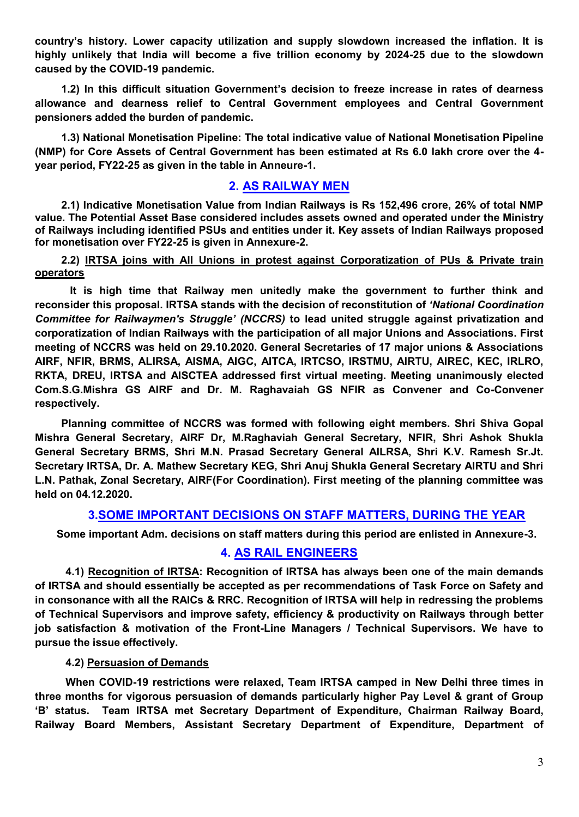**country's history. Lower capacity utilization and supply slowdown increased the inflation. It is highly unlikely that India will become a five trillion economy by 2024-25 due to the slowdown caused by the COVID-19 pandemic.** 

**1.2) In this difficult situation Government's decision to freeze increase in rates of dearness allowance and dearness relief to Central Government employees and Central Government pensioners added the burden of pandemic.** 

**1.3) National Monetisation Pipeline: The total indicative value of National Monetisation Pipeline (NMP) for Core Assets of Central Government has been estimated at Rs 6.0 lakh crore over the 4 year period, FY22-25 as given in the table in Anneure-1.**

#### **2. AS RAILWAY MEN**

**2.1) Indicative Monetisation Value from Indian Railways is Rs 152,496 crore, 26% of total NMP value. The Potential Asset Base considered includes assets owned and operated under the Ministry of Railways including identified PSUs and entities under it. Key assets of Indian Railways proposed for monetisation over FY22-25 is given in Annexure-2.**

**2.2) IRTSA joins with All Unions in protest against Corporatization of PUs & Private train operators** 

**It is high time that Railway men unitedly make the government to further think and reconsider this proposal. IRTSA stands with the decision of reconstitution of** *'National Coordination Committee for Railwaymen's Struggle' (NCCRS)* **to lead united struggle against privatization and corporatization of Indian Railways with the participation of all major Unions and Associations. First meeting of NCCRS was held on 29.10.2020. General Secretaries of 17 major unions & Associations AIRF, NFIR, BRMS, ALIRSA, AISMA, AIGC, AITCA, IRTCSO, IRSTMU, AIRTU, AIREC, KEC, IRLRO, RKTA, DREU, IRTSA and AISCTEA addressed first virtual meeting. Meeting unanimously elected Com.S.G.Mishra GS AIRF and Dr. M. Raghavaiah GS NFIR as Convener and Co-Convener respectively.** 

**Planning committee of NCCRS was formed with following eight members. Shri Shiva Gopal Mishra General Secretary, AIRF Dr, M.Raghaviah General Secretary, NFIR, Shri Ashok Shukla General Secretary BRMS, Shri M.N. Prasad Secretary General AILRSA, Shri K.V. Ramesh Sr.Jt. Secretary IRTSA, Dr. A. Mathew Secretary KEG, Shri Anuj Shukla General Secretary AIRTU and Shri L.N. Pathak, Zonal Secretary, AIRF(For Coordination). First meeting of the planning committee was held on 04.12.2020.** 

#### **3.SOME IMPORTANT DECISIONS ON STAFF MATTERS, DURING THE YEAR**

**Some important Adm. decisions on staff matters during this period are enlisted in Annexure-3.**

#### **4. AS RAIL ENGINEERS**

**4.1) Recognition of IRTSA: Recognition of IRTSA has always been one of the main demands of IRTSA and should essentially be accepted as per recommendations of Task Force on Safety and in consonance with all the RAICs & RRC. Recognition of IRTSA will help in redressing the problems of Technical Supervisors and improve safety, efficiency & productivity on Railways through better job satisfaction & motivation of the Front-Line Managers / Technical Supervisors. We have to pursue the issue effectively.** 

#### **4.2) Persuasion of Demands**

**When COVID-19 restrictions were relaxed, Team IRTSA camped in New Delhi three times in three months for vigorous persuasion of demands particularly higher Pay Level & grant of Group 'B' status. Team IRTSA met Secretary Department of Expenditure, Chairman Railway Board, Railway Board Members, Assistant Secretary Department of Expenditure, Department of**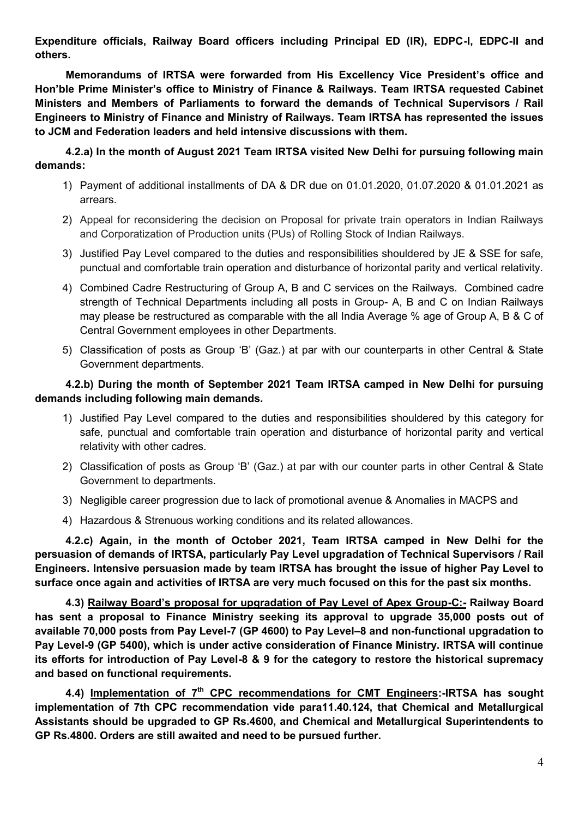**Expenditure officials, Railway Board officers including Principal ED (IR), EDPC-I, EDPC-II and others.** 

**Memorandums of IRTSA were forwarded from His Excellency Vice President's office and Hon'ble Prime Minister's office to Ministry of Finance & Railways. Team IRTSA requested Cabinet Ministers and Members of Parliaments to forward the demands of Technical Supervisors / Rail Engineers to Ministry of Finance and Ministry of Railways. Team IRTSA has represented the issues to JCM and Federation leaders and held intensive discussions with them.** 

**4.2.a) In the month of August 2021 Team IRTSA visited New Delhi for pursuing following main demands:** 

- 1) Payment of additional installments of DA & DR due on 01.01.2020, 01.07.2020 & 01.01.2021 as arrears.
- 2) Appeal for reconsidering the decision on Proposal for private train operators in Indian Railways and Corporatization of Production units (PUs) of Rolling Stock of Indian Railways.
- 3) Justified Pay Level compared to the duties and responsibilities shouldered by JE & SSE for safe, punctual and comfortable train operation and disturbance of horizontal parity and vertical relativity.
- 4) Combined Cadre Restructuring of Group A, B and C services on the Railways. Combined cadre strength of Technical Departments including all posts in Group- A, B and C on Indian Railways may please be restructured as comparable with the all India Average % age of Group A, B & C of Central Government employees in other Departments.
- 5) Classification of posts as Group 'B' (Gaz.) at par with our counterparts in other Central & State Government departments.

#### **4.2.b) During the month of September 2021 Team IRTSA camped in New Delhi for pursuing demands including following main demands.**

- 1) Justified Pay Level compared to the duties and responsibilities shouldered by this category for safe, punctual and comfortable train operation and disturbance of horizontal parity and vertical relativity with other cadres.
- 2) Classification of posts as Group 'B' (Gaz.) at par with our counter parts in other Central & State Government to departments.
- 3) Negligible career progression due to lack of promotional avenue & Anomalies in MACPS and
- 4) Hazardous & Strenuous working conditions and its related allowances.

**4.2.c) Again, in the month of October 2021, Team IRTSA camped in New Delhi for the persuasion of demands of IRTSA, particularly Pay Level upgradation of Technical Supervisors / Rail Engineers. Intensive persuasion made by team IRTSA has brought the issue of higher Pay Level to surface once again and activities of IRTSA are very much focused on this for the past six months.** 

**4.3) Railway Board's proposal for upgradation of Pay Level of Apex Group-C:- Railway Board has sent a proposal to Finance Ministry seeking its approval to upgrade 35,000 posts out of available 70,000 posts from Pay Level-7 (GP 4600) to Pay Level–8 and non-functional upgradation to Pay Level-9 (GP 5400), which is under active consideration of Finance Ministry. IRTSA will continue its efforts for introduction of Pay Level-8 & 9 for the category to restore the historical supremacy and based on functional requirements.** 

**4.4) Implementation of 7th CPC recommendations for CMT Engineers:-IRTSA has sought implementation of 7th CPC recommendation vide para11.40.124, that Chemical and Metallurgical Assistants should be upgraded to GP Rs.4600, and Chemical and Metallurgical Superintendents to GP Rs.4800. Orders are still awaited and need to be pursued further.**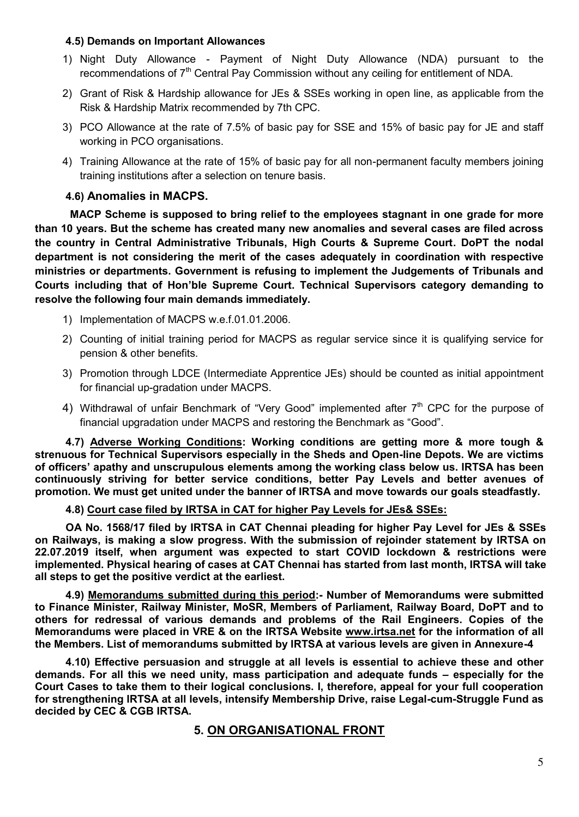#### **4.5) Demands on Important Allowances**

- 1) Night Duty Allowance Payment of Night Duty Allowance (NDA) pursuant to the recommendations of 7<sup>th</sup> Central Pay Commission without any ceiling for entitlement of NDA.
- 2) Grant of Risk & Hardship allowance for JEs & SSEs working in open line, as applicable from the Risk & Hardship Matrix recommended by 7th CPC.
- 3) PCO Allowance at the rate of 7.5% of basic pay for SSE and 15% of basic pay for JE and staff working in PCO organisations.
- 4) Training Allowance at the rate of 15% of basic pay for all non-permanent faculty members joining training institutions after a selection on tenure basis.

#### **4.6) Anomalies in MACPS.**

**MACP Scheme is supposed to bring relief to the employees stagnant in one grade for more than 10 years. But the scheme has created many new anomalies and several cases are filed across the country in Central Administrative Tribunals, High Courts & Supreme Court. DoPT the nodal department is not considering the merit of the cases adequately in coordination with respective ministries or departments. Government is refusing to implement the Judgements of Tribunals and Courts including that of Hon'ble Supreme Court. Technical Supervisors category demanding to resolve the following four main demands immediately.** 

- 1) Implementation of MACPS w.e.f.01.01.2006.
- 2) Counting of initial training period for MACPS as regular service since it is qualifying service for pension & other benefits.
- 3) Promotion through LDCE (Intermediate Apprentice JEs) should be counted as initial appointment for financial up-gradation under MACPS.
- 4) Withdrawal of unfair Benchmark of "Very Good" implemented after  $7<sup>th</sup>$  CPC for the purpose of financial upgradation under MACPS and restoring the Benchmark as "Good".

**4.7) Adverse Working Conditions: Working conditions are getting more & more tough & strenuous for Technical Supervisors especially in the Sheds and Open-line Depots. We are victims of officers' apathy and unscrupulous elements among the working class below us. IRTSA has been continuously striving for better service conditions, better Pay Levels and better avenues of promotion. We must get united under the banner of IRTSA and move towards our goals steadfastly.** 

#### **4.8) Court case filed by IRTSA in CAT for higher Pay Levels for JEs& SSEs:**

**OA No. 1568/17 filed by IRTSA in CAT Chennai pleading for higher Pay Level for JEs & SSEs on Railways, is making a slow progress. With the submission of rejoinder statement by IRTSA on 22.07.2019 itself, when argument was expected to start COVID lockdown & restrictions were implemented. Physical hearing of cases at CAT Chennai has started from last month, IRTSA will take all steps to get the positive verdict at the earliest.** 

**4.9) Memorandums submitted during this period:- Number of Memorandums were submitted to Finance Minister, Railway Minister, MoSR, Members of Parliament, Railway Board, DoPT and to others for redressal of various demands and problems of the Rail Engineers. Copies of the Memorandums were placed in VRE & on the IRTSA Website [www.irtsa.net](http://www.irtsa.net/) for the information of all the Members. List of memorandums submitted by IRTSA at various levels are given in Annexure-4** 

**4.10) Effective persuasion and struggle at all levels is essential to achieve these and other demands. For all this we need unity, mass participation and adequate funds – especially for the Court Cases to take them to their logical conclusions. I, therefore, appeal for your full cooperation for strengthening IRTSA at all levels, intensify Membership Drive, raise Legal-cum-Struggle Fund as decided by CEC & CGB IRTSA.** 

#### **5. ON ORGANISATIONAL FRONT**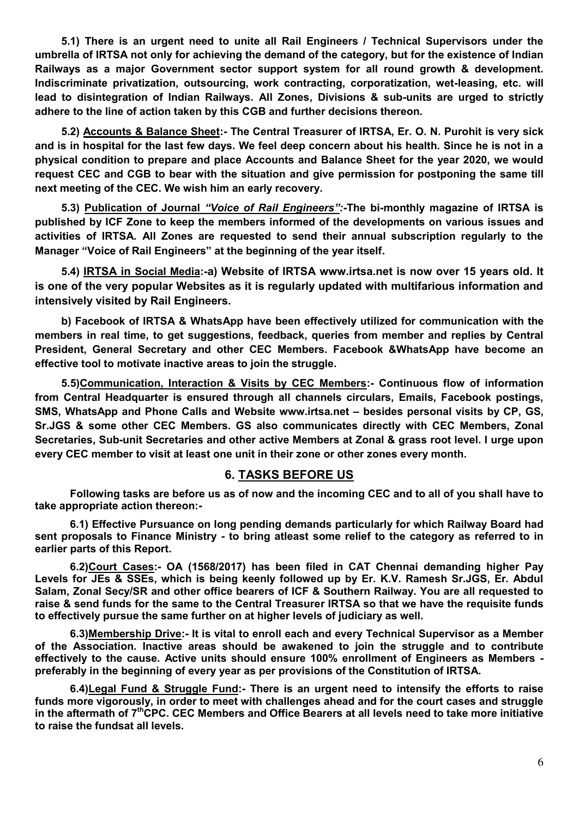**5.1) There is an urgent need to unite all Rail Engineers / Technical Supervisors under the umbrella of IRTSA not only for achieving the demand of the category, but for the existence of Indian Railways as a major Government sector support system for all round growth & development. Indiscriminate privatization, outsourcing, work contracting, corporatization, wet-leasing, etc. will lead to disintegration of Indian Railways. All Zones, Divisions & sub-units are urged to strictly adhere to the line of action taken by this CGB and further decisions thereon.** 

**5.2) Accounts & Balance Sheet:- The Central Treasurer of IRTSA, Er. O. N. Purohit is very sick and is in hospital for the last few days. We feel deep concern about his health. Since he is not in a physical condition to prepare and place Accounts and Balance Sheet for the year 2020, we would request CEC and CGB to bear with the situation and give permission for postponing the same till next meeting of the CEC. We wish him an early recovery.** 

**5.3) Publication of Journal** *"Voice of Rail Engineers":-***The bi-monthly magazine of IRTSA is published by ICF Zone to keep the members informed of the developments on various issues and activities of IRTSA. All Zones are requested to send their annual subscription regularly to the Manager "Voice of Rail Engineers" at the beginning of the year itself.** 

**5.4) IRTSA in Social Media:-a) Website of IRTSA www.irtsa.net is now over 15 years old. It is one of the very popular Websites as it is regularly updated with multifarious information and intensively visited by Rail Engineers.** 

**b) Facebook of IRTSA & WhatsApp have been effectively utilized for communication with the members in real time, to get suggestions, feedback, queries from member and replies by Central President, General Secretary and other CEC Members. Facebook &WhatsApp have become an effective tool to motivate inactive areas to join the struggle.** 

**5.5)Communication, Interaction & Visits by CEC Members:- Continuous flow of information from Central Headquarter is ensured through all channels circulars, Emails, Facebook postings, SMS, WhatsApp and Phone Calls and Website www.irtsa.net – besides personal visits by CP, GS, Sr.JGS & some other CEC Members. GS also communicates directly with CEC Members, Zonal Secretaries, Sub-unit Secretaries and other active Members at Zonal & grass root level. I urge upon every CEC member to visit at least one unit in their zone or other zones every month.** 

#### **6. TASKS BEFORE US**

**Following tasks are before us as of now and the incoming CEC and to all of you shall have to take appropriate action thereon:-** 

**6.1) Effective Pursuance on long pending demands particularly for which Railway Board had sent proposals to Finance Ministry - to bring atleast some relief to the category as referred to in earlier parts of this Report.** 

**6.2)Court Cases:- OA (1568/2017) has been filed in CAT Chennai demanding higher Pay Levels for JEs & SSEs, which is being keenly followed up by Er. K.V. Ramesh Sr.JGS, Er. Abdul Salam, Zonal Secy/SR and other office bearers of ICF & Southern Railway. You are all requested to raise & send funds for the same to the Central Treasurer IRTSA so that we have the requisite funds to effectively pursue the same further on at higher levels of judiciary as well.** 

**6.3)Membership Drive:- It is vital to enroll each and every Technical Supervisor as a Member of the Association. Inactive areas should be awakened to join the struggle and to contribute effectively to the cause. Active units should ensure 100% enrollment of Engineers as Members preferably in the beginning of every year as per provisions of the Constitution of IRTSA.** 

**6.4)Legal Fund & Struggle Fund:- There is an urgent need to intensify the efforts to raise funds more vigorously, in order to meet with challenges ahead and for the court cases and struggle in the aftermath of 7thCPC. CEC Members and Office Bearers at all levels need to take more initiative to raise the fundsat all levels.**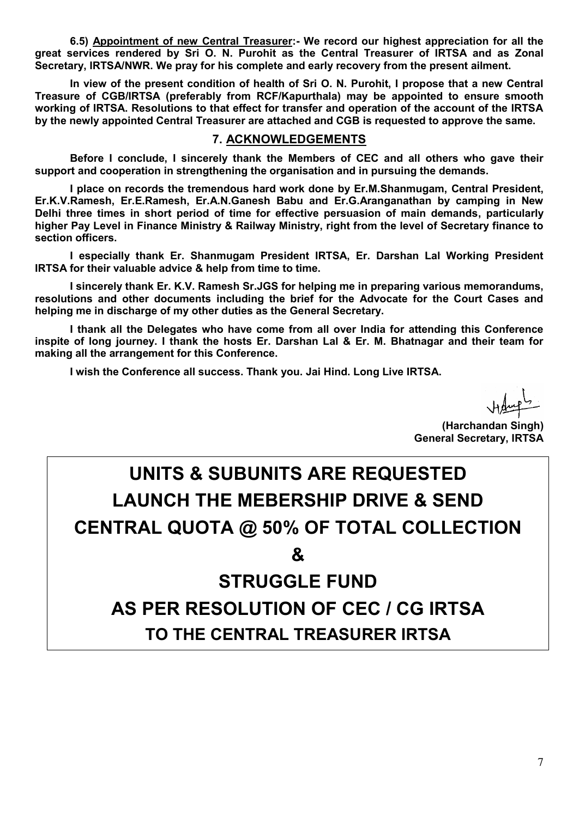**6.5) Appointment of new Central Treasurer:- We record our highest appreciation for all the great services rendered by Sri O. N. Purohit as the Central Treasurer of IRTSA and as Zonal Secretary, IRTSA/NWR. We pray for his complete and early recovery from the present ailment.** 

**In view of the present condition of health of Sri O. N. Purohit, I propose that a new Central Treasure of CGB/IRTSA (preferably from RCF/Kapurthala) may be appointed to ensure smooth working of IRTSA. Resolutions to that effect for transfer and operation of the account of the IRTSA by the newly appointed Central Treasurer are attached and CGB is requested to approve the same.** 

#### **7. ACKNOWLEDGEMENTS**

**Before I conclude, I sincerely thank the Members of CEC and all others who gave their support and cooperation in strengthening the organisation and in pursuing the demands.** 

**I place on records the tremendous hard work done by Er.M.Shanmugam, Central President, Er.K.V.Ramesh, Er.E.Ramesh, Er.A.N.Ganesh Babu and Er.G.Aranganathan by camping in New Delhi three times in short period of time for effective persuasion of main demands, particularly higher Pay Level in Finance Ministry & Railway Ministry, right from the level of Secretary finance to section officers.** 

**I especially thank Er. Shanmugam President IRTSA, Er. Darshan Lal Working President IRTSA for their valuable advice & help from time to time.** 

**I sincerely thank Er. K.V. Ramesh Sr.JGS for helping me in preparing various memorandums, resolutions and other documents including the brief for the Advocate for the Court Cases and helping me in discharge of my other duties as the General Secretary.** 

**I thank all the Delegates who have come from all over India for attending this Conference inspite of long journey. I thank the hosts Er. Darshan Lal & Er. M. Bhatnagar and their team for making all the arrangement for this Conference.** 

**I wish the Conference all success. Thank you. Jai Hind. Long Live IRTSA.** 

**(Harchandan Singh) General Secretary, IRTSA** 

# **UNITS & SUBUNITS ARE REQUESTED LAUNCH THE MEBERSHIP DRIVE & SEND CENTRAL QUOTA @ 50% OF TOTAL COLLECTION &**

# **STRUGGLE FUND AS PER RESOLUTION OF CEC / CG IRTSA TO THE CENTRAL TREASURER IRTSA**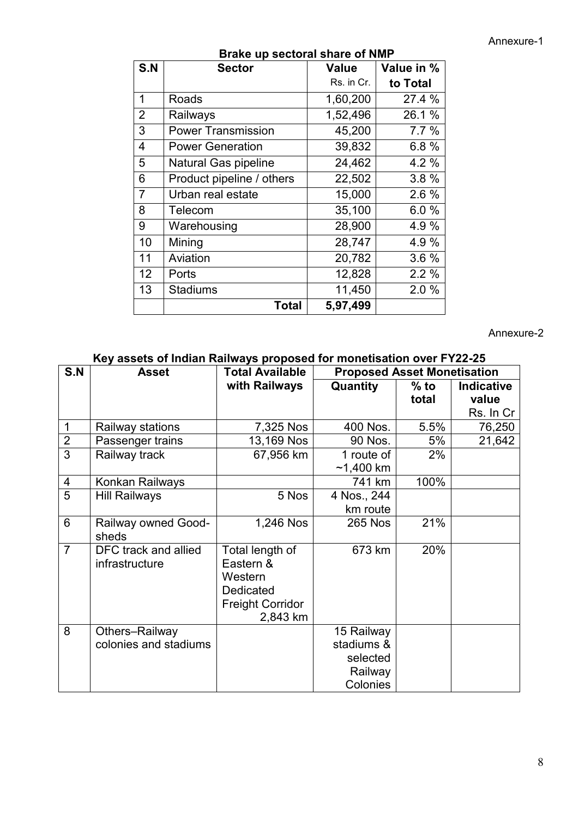Annexure-1

| <b>DIANG UP SECIOLAI SHALE OF NIVIF</b> |                           |            |            |  |  |  |  |
|-----------------------------------------|---------------------------|------------|------------|--|--|--|--|
| S.N                                     | <b>Sector</b>             | Value      | Value in % |  |  |  |  |
|                                         |                           | Rs. in Cr. | to Total   |  |  |  |  |
| 1                                       | Roads                     | 1,60,200   | 27.4 %     |  |  |  |  |
| 2                                       | Railways                  | 1,52,496   | 26.1 %     |  |  |  |  |
| $\mathbf{3}$                            | <b>Power Transmission</b> | 45,200     | 7.7%       |  |  |  |  |
| $\overline{4}$                          | <b>Power Generation</b>   | 39,832     | 6.8%       |  |  |  |  |
| $5\phantom{.0}$                         | Natural Gas pipeline      | 24,462     | 4.2 %      |  |  |  |  |
| 6                                       | Product pipeline / others | 22,502     | 3.8%       |  |  |  |  |
| $\overline{7}$                          | Urban real estate         | 15,000     | 2.6%       |  |  |  |  |
| 8                                       | Telecom                   | 35,100     | 6.0%       |  |  |  |  |
| 9                                       | Warehousing               | 28,900     | 4.9%       |  |  |  |  |
| 10                                      | Mining                    | 28,747     | 4.9%       |  |  |  |  |
| 11                                      | Aviation                  | 20,782     | 3.6%       |  |  |  |  |
| 12                                      | Ports                     | 12,828     | 2.2%       |  |  |  |  |
| 13                                      | <b>Stadiums</b>           | 11,450     | 2.0%       |  |  |  |  |
|                                         | <b>Total</b>              | 5,97,499   |            |  |  |  |  |

#### **Brake up sectoral share of NMP**

#### Annexure-2

# **Key assets of Indian Railways proposed for monetisation over FY22-25**

| S.N            | <b>Asset</b>               | <b>Total Available</b>  |                | <b>Proposed Asset Monetisation</b> |                   |  |
|----------------|----------------------------|-------------------------|----------------|------------------------------------|-------------------|--|
|                |                            | with Railways           | Quantity       | $%$ to                             | <b>Indicative</b> |  |
|                |                            |                         |                | total                              | value             |  |
|                |                            |                         |                |                                    | Rs. In Cr         |  |
| $\mathbf 1$    | Railway stations           | 7,325 Nos               | 400 Nos.       | 5.5%                               | 76,250            |  |
| $\overline{2}$ | Passenger trains           | 13,169 Nos              | 90 Nos.        | 5%                                 | 21,642            |  |
| $\overline{3}$ | Railway track              | 67,956 km               | 1 route of     | 2%                                 |                   |  |
|                |                            |                         | $~1,400$ km    |                                    |                   |  |
| 4              | Konkan Railways            |                         | 741 km         | 100%                               |                   |  |
| 5              | <b>Hill Railways</b>       | 5 Nos                   | 4 Nos., 244    |                                    |                   |  |
|                |                            |                         | km route       |                                    |                   |  |
| 6              | <b>Railway owned Good-</b> | 1,246 Nos               | <b>265 Nos</b> | 21%                                |                   |  |
|                | sheds                      |                         |                |                                    |                   |  |
| $\overline{7}$ | DFC track and allied       | Total length of         | 673 km         | 20%                                |                   |  |
|                | infrastructure             | Eastern &               |                |                                    |                   |  |
|                |                            | Western                 |                |                                    |                   |  |
|                |                            | Dedicated               |                |                                    |                   |  |
|                |                            | <b>Freight Corridor</b> |                |                                    |                   |  |
|                |                            | 2,843 km                |                |                                    |                   |  |
| 8              | Others-Railway             |                         | 15 Railway     |                                    |                   |  |
|                | colonies and stadiums      |                         | stadiums &     |                                    |                   |  |
|                |                            |                         | selected       |                                    |                   |  |
|                |                            |                         | Railway        |                                    |                   |  |
|                |                            |                         | Colonies       |                                    |                   |  |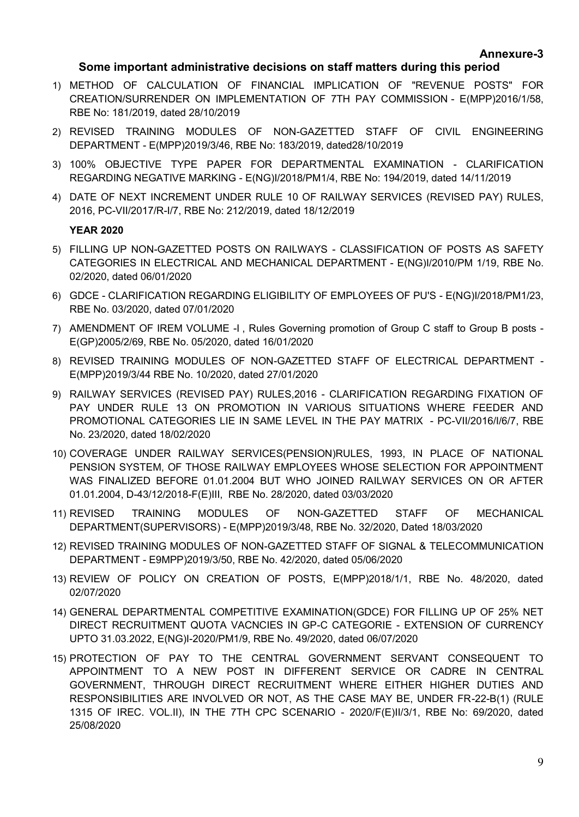#### **Some important administrative decisions on staff matters during this period**

- 1) METHOD OF CALCULATION OF FINANCIAL IMPLICATION OF "REVENUE POSTS" FOR CREATION/SURRENDER ON IMPLEMENTATION OF 7TH PAY COMMISSION - E(MPP)2016/1/58, RBE No: 181/2019, dated 28/10/2019
- 2) REVISED TRAINING MODULES OF NON-GAZETTED STAFF OF CIVIL ENGINEERING DEPARTMENT - E(MPP)2019/3/46, RBE No: 183/2019, dated28/10/2019
- 3) 100% OBJECTIVE TYPE PAPER FOR DEPARTMENTAL EXAMINATION CLARIFICATION REGARDING NEGATIVE MARKING - E(NG)I/2018/PM1/4, RBE No: 194/2019, dated 14/11/2019
- 4) DATE OF NEXT INCREMENT UNDER RULE 10 OF RAILWAY SERVICES (REVISED PAY) RULES, 2016, PC-VII/2017/R-I/7, RBE No: 212/2019, dated 18/12/2019

#### **YEAR 2020**

- 5) FILLING UP NON-GAZETTED POSTS ON RAILWAYS CLASSIFICATION OF POSTS AS SAFETY CATEGORIES IN ELECTRICAL AND MECHANICAL DEPARTMENT - E(NG)I/2010/PM 1/19, RBE No. 02/2020, dated 06/01/2020
- 6) GDCE CLARIFICATION REGARDING ELIGIBILITY OF EMPLOYEES OF PU'S E(NG)I/2018/PM1/23, RBE No. 03/2020, dated 07/01/2020
- 7) AMENDMENT OF IREM VOLUME -I , Rules Governing promotion of Group C staff to Group B posts E(GP)2005/2/69, RBE No. 05/2020, dated 16/01/2020
- 8) REVISED TRAINING MODULES OF NON-GAZETTED STAFF OF ELECTRICAL DEPARTMENT E(MPP)2019/3/44 RBE No. 10/2020, dated 27/01/2020
- 9) RAILWAY SERVICES (REVISED PAY) RULES,2016 CLARIFICATION REGARDING FIXATION OF PAY UNDER RULE 13 ON PROMOTION IN VARIOUS SITUATIONS WHERE FEEDER AND PROMOTIONAL CATEGORIES LIE IN SAME LEVEL IN THE PAY MATRIX - PC-VII/2016/I/6/7, RBE No. 23/2020, dated 18/02/2020
- 10) COVERAGE UNDER RAILWAY SERVICES(PENSION)RULES, 1993, IN PLACE OF NATIONAL PENSION SYSTEM, OF THOSE RAILWAY EMPLOYEES WHOSE SELECTION FOR APPOINTMENT WAS FINALIZED BEFORE 01.01.2004 BUT WHO JOINED RAILWAY SERVICES ON OR AFTER 01.01.2004, D-43/12/2018-F(E)III, RBE No. 28/2020, dated 03/03/2020
- 11) REVISED TRAINING MODULES OF NON-GAZETTED STAFF OF MECHANICAL DEPARTMENT(SUPERVISORS) - E(MPP)2019/3/48, RBE No. 32/2020, Dated 18/03/2020
- 12) REVISED TRAINING MODULES OF NON-GAZETTED STAFF OF SIGNAL & TELECOMMUNICATION DEPARTMENT - E9MPP)2019/3/50, RBE No. 42/2020, dated 05/06/2020
- 13) REVIEW OF POLICY ON CREATION OF POSTS, E(MPP)2018/1/1, RBE No. 48/2020, dated 02/07/2020
- 14) GENERAL DEPARTMENTAL COMPETITIVE EXAMINATION(GDCE) FOR FILLING UP OF 25% NET DIRECT RECRUITMENT QUOTA VACNCIES IN GP-C CATEGORIE - EXTENSION OF CURRENCY UPTO 31.03.2022, E(NG)I-2020/PM1/9, RBE No. 49/2020, dated 06/07/2020
- 15) PROTECTION OF PAY TO THE CENTRAL GOVERNMENT SERVANT CONSEQUENT TO APPOINTMENT TO A NEW POST IN DIFFERENT SERVICE OR CADRE IN CENTRAL GOVERNMENT, THROUGH DIRECT RECRUITMENT WHERE EITHER HIGHER DUTIES AND RESPONSIBILITIES ARE INVOLVED OR NOT, AS THE CASE MAY BE, UNDER FR-22-B(1) (RULE 1315 OF IREC. VOL.II), IN THE 7TH CPC SCENARIO - 2020/F(E)II/3/1, RBE No: 69/2020, dated 25/08/2020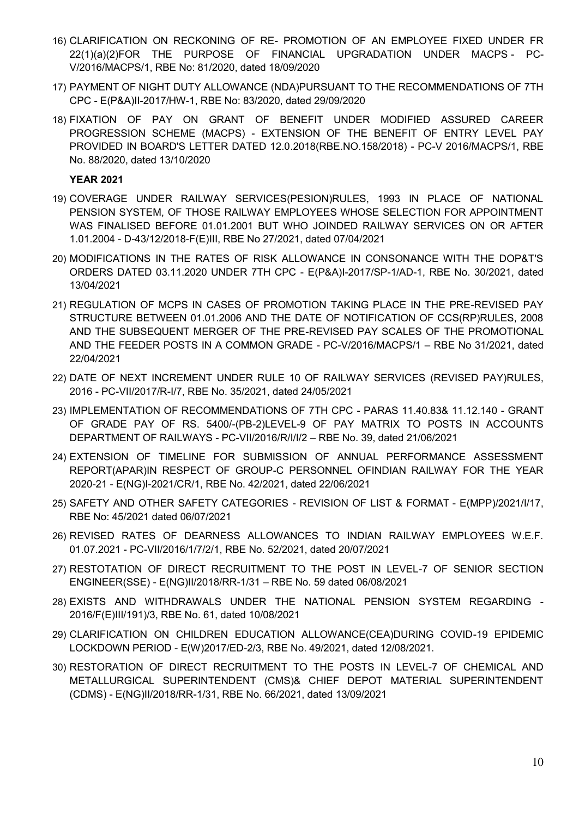- 16) CLARIFICATION ON RECKONING OF RE- PROMOTION OF AN EMPLOYEE FIXED UNDER FR 22(1)(a)(2)FOR THE PURPOSE OF FINANCIAL UPGRADATION UNDER MACPS - PC-V/2016/MACPS/1, RBE No: 81/2020, dated 18/09/2020
- 17) PAYMENT OF NIGHT DUTY ALLOWANCE (NDA)PURSUANT TO THE RECOMMENDATIONS OF 7TH CPC - E(P&A)II-2017/HW-1, RBE No: 83/2020, dated 29/09/2020
- 18) FIXATION OF PAY ON GRANT OF BENEFIT UNDER MODIFIED ASSURED CAREER PROGRESSION SCHEME (MACPS) - EXTENSION OF THE BENEFIT OF ENTRY LEVEL PAY PROVIDED IN BOARD'S LETTER DATED 12.0.2018(RBE.NO.158/2018) - PC-V 2016/MACPS/1, RBE No. 88/2020, dated 13/10/2020

#### **YEAR 2021**

- 19) COVERAGE UNDER RAILWAY SERVICES(PESION)RULES, 1993 IN PLACE OF NATIONAL PENSION SYSTEM, OF THOSE RAILWAY EMPLOYEES WHOSE SELECTION FOR APPOINTMENT WAS FINALISED BEFORE 01.01.2001 BUT WHO JOINDED RAILWAY SERVICES ON OR AFTER 1.01.2004 - D-43/12/2018-F(E)III, RBE No 27/2021, dated 07/04/2021
- 20) MODIFICATIONS IN THE RATES OF RISK ALLOWANCE IN CONSONANCE WITH THE DOP&T'S ORDERS DATED 03.11.2020 UNDER 7TH CPC - E(P&A)I-2017/SP-1/AD-1, RBE No. 30/2021, dated 13/04/2021
- 21) REGULATION OF MCPS IN CASES OF PROMOTION TAKING PLACE IN THE PRE-REVISED PAY STRUCTURE BETWEEN 01.01.2006 AND THE DATE OF NOTIFICATION OF CCS(RP)RULES, 2008 AND THE SUBSEQUENT MERGER OF THE PRE-REVISED PAY SCALES OF THE PROMOTIONAL AND THE FEEDER POSTS IN A COMMON GRADE - PC-V/2016/MACPS/1 – RBE No 31/2021, dated 22/04/2021
- 22) DATE OF NEXT INCREMENT UNDER RULE 10 OF RAILWAY SERVICES (REVISED PAY)RULES, 2016 - PC-VII/2017/R-I/7, RBE No. 35/2021, dated 24/05/2021
- 23) IMPLEMENTATION OF RECOMMENDATIONS OF 7TH CPC PARAS 11.40.83& 11.12.140 GRANT OF GRADE PAY OF RS. 5400/-(PB-2)LEVEL-9 OF PAY MATRIX TO POSTS IN ACCOUNTS DEPARTMENT OF RAILWAYS - PC-VII/2016/R/I/I/2 – RBE No. 39, dated 21/06/2021
- 24) EXTENSION OF TIMELINE FOR SUBMISSION OF ANNUAL PERFORMANCE ASSESSMENT REPORT(APAR)IN RESPECT OF GROUP-C PERSONNEL OFINDIAN RAILWAY FOR THE YEAR 2020-21 - E(NG)I-2021/CR/1, RBE No. 42/2021, dated 22/06/2021
- 25) SAFETY AND OTHER SAFETY CATEGORIES REVISION OF LIST & FORMAT E(MPP)/2021/I/17, RBE No: 45/2021 dated 06/07/2021
- 26) REVISED RATES OF DEARNESS ALLOWANCES TO INDIAN RAILWAY EMPLOYEES W.E.F. 01.07.2021 - PC-VII/2016/1/7/2/1, RBE No. 52/2021, dated 20/07/2021
- 27) RESTOTATION OF DIRECT RECRUITMENT TO THE POST IN LEVEL-7 OF SENIOR SECTION ENGINEER(SSE) - E(NG)II/2018/RR-1/31 – RBE No. 59 dated 06/08/2021
- 28) EXISTS AND WITHDRAWALS UNDER THE NATIONAL PENSION SYSTEM REGARDING 2016/F(E)III/191)/3, RBE No. 61, dated 10/08/2021
- 29) CLARIFICATION ON CHILDREN EDUCATION ALLOWANCE(CEA)DURING COVID-19 EPIDEMIC LOCKDOWN PERIOD - E(W)2017/ED-2/3, RBE No. 49/2021, dated 12/08/2021.
- 30) RESTORATION OF DIRECT RECRUITMENT TO THE POSTS IN LEVEL-7 OF CHEMICAL AND METALLURGICAL SUPERINTENDENT (CMS)& CHIEF DEPOT MATERIAL SUPERINTENDENT (CDMS) - E(NG)II/2018/RR-1/31, RBE No. 66/2021, dated 13/09/2021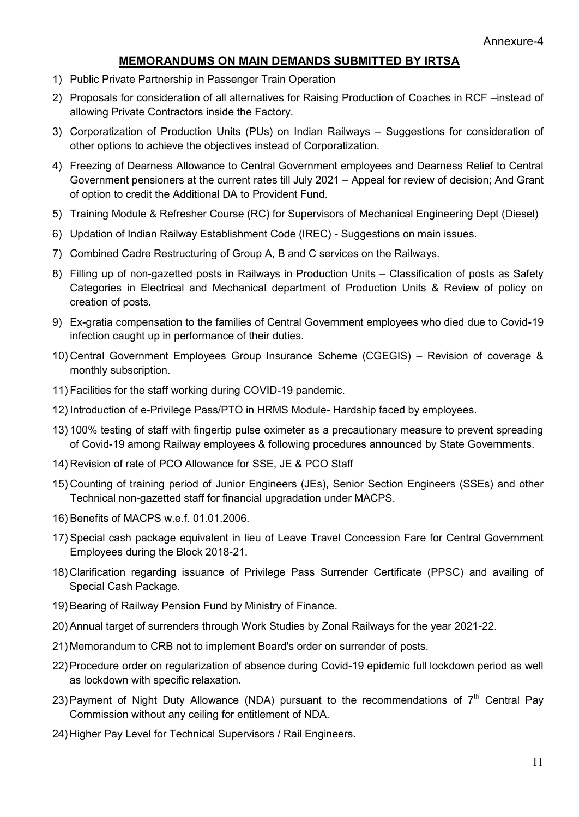#### **MEMORANDUMS ON MAIN DEMANDS SUBMITTED BY IRTSA**

- 1) Public Private Partnership in Passenger Train Operation
- 2) Proposals for consideration of all alternatives for Raising Production of Coaches in RCF –instead of allowing Private Contractors inside the Factory.
- 3) Corporatization of Production Units (PUs) on Indian Railways Suggestions for consideration of other options to achieve the objectives instead of Corporatization.
- 4) Freezing of Dearness Allowance to Central Government employees and Dearness Relief to Central Government pensioners at the current rates till July 2021 – Appeal for review of decision; And Grant of option to credit the Additional DA to Provident Fund.
- 5) Training Module & Refresher Course (RC) for Supervisors of Mechanical Engineering Dept (Diesel)
- 6) Updation of Indian Railway Establishment Code (IREC) Suggestions on main issues.
- 7) Combined Cadre Restructuring of Group A, B and C services on the Railways.
- 8) Filling up of non-gazetted posts in Railways in Production Units Classification of posts as Safety Categories in Electrical and Mechanical department of Production Units & Review of policy on creation of posts.
- 9) Ex-gratia compensation to the families of Central Government employees who died due to Covid-19 infection caught up in performance of their duties.
- 10) Central Government Employees Group Insurance Scheme (CGEGIS) Revision of coverage & monthly subscription.
- 11) Facilities for the staff working during COVID-19 pandemic.
- 12) Introduction of e-Privilege Pass/PTO in HRMS Module- Hardship faced by employees.
- 13) 100% testing of staff with fingertip pulse oximeter as a precautionary measure to prevent spreading of Covid-19 among Railway employees & following procedures announced by State Governments.
- 14) Revision of rate of PCO Allowance for SSE, JE & PCO Staff
- 15) Counting of training period of Junior Engineers (JEs), Senior Section Engineers (SSEs) and other Technical non-gazetted staff for financial upgradation under MACPS.
- 16) Benefits of MACPS w.e.f. 01.01.2006.
- 17) Special cash package equivalent in lieu of Leave Travel Concession Fare for Central Government Employees during the Block 2018-21.
- 18) Clarification regarding issuance of Privilege Pass Surrender Certificate (PPSC) and availing of Special Cash Package.
- 19) Bearing of Railway Pension Fund by Ministry of Finance.
- 20) Annual target of surrenders through Work Studies by Zonal Railways for the year 2021-22.
- 21) Memorandum to CRB not to implement Board's order on surrender of posts.
- 22) Procedure order on regularization of absence during Covid-19 epidemic full lockdown period as well as lockdown with specific relaxation.
- 23) Payment of Night Duty Allowance (NDA) pursuant to the recommendations of  $7<sup>th</sup>$  Central Pay Commission without any ceiling for entitlement of NDA.
- 24) Higher Pay Level for Technical Supervisors / Rail Engineers.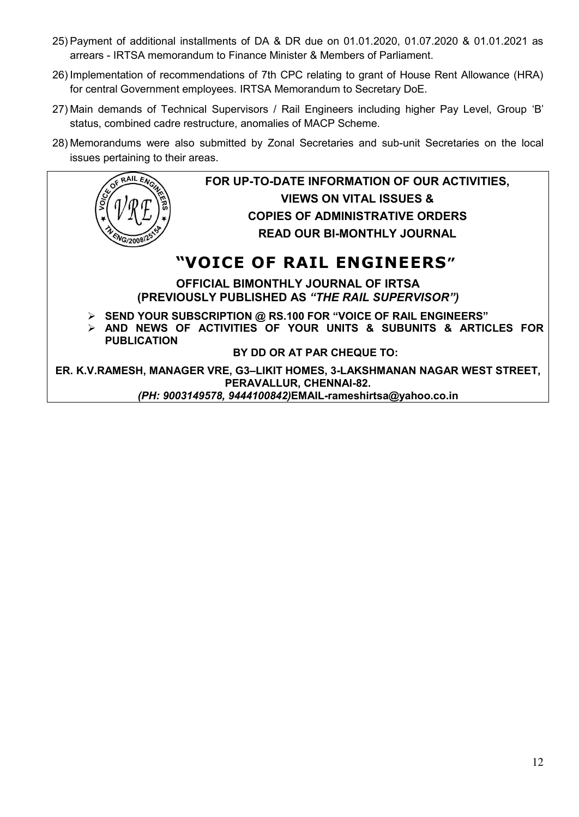- 25) Payment of additional installments of DA & DR due on 01.01.2020, 01.07.2020 & 01.01.2021 as arrears - IRTSA memorandum to Finance Minister & Members of Parliament.
- 26) Implementation of recommendations of 7th CPC relating to grant of House Rent Allowance (HRA) for central Government employees. IRTSA Memorandum to Secretary DoE.
- 27) Main demands of Technical Supervisors / Rail Engineers including higher Pay Level, Group 'B' status, combined cadre restructure, anomalies of MACP Scheme.
- 28) Memorandums were also submitted by Zonal Secretaries and sub-unit Secretaries on the local issues pertaining to their areas.

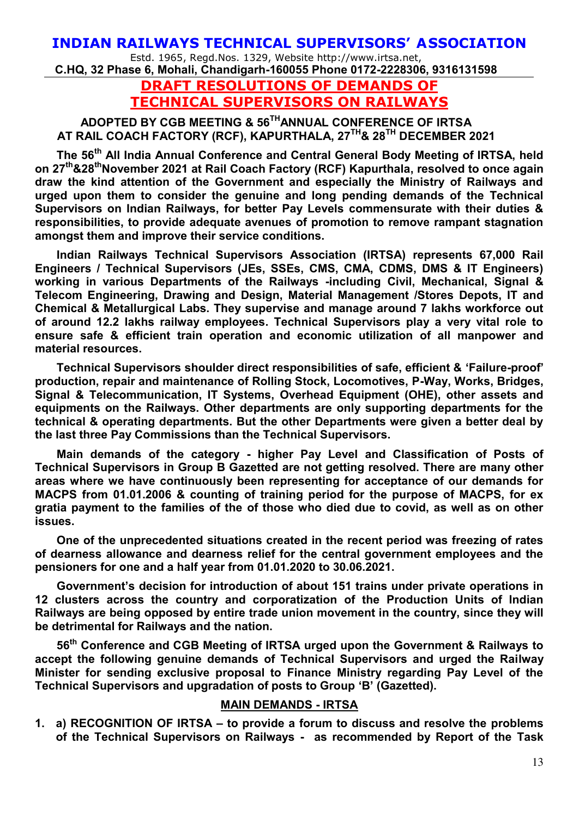## **INDIAN RAILWAYS TECHNICAL SUPERVISORS' ASSOCIATION**

Estd. 1965, Regd.Nos. 1329, Website http://www.irtsa.net, **C.HQ, 32 Phase 6, Mohali, Chandigarh-160055 Phone 0172-2228306, 9316131598** 

> **DRAFT RESOLUTIONS OF DEMANDS OF TECHNICAL SUPERVISORS ON RAILWAYS**

# **ADOPTED BY CGB MEETING & 56THANNUAL CONFERENCE OF IRTSA AT RAIL COACH FACTORY (RCF), KAPURTHALA, 27TH& 28TH DECEMBER 2021**

**The 56th All India Annual Conference and Central General Body Meeting of IRTSA, held on 27th&28thNovember 2021 at Rail Coach Factory (RCF) Kapurthala, resolved to once again draw the kind attention of the Government and especially the Ministry of Railways and urged upon them to consider the genuine and long pending demands of the Technical Supervisors on Indian Railways, for better Pay Levels commensurate with their duties & responsibilities, to provide adequate avenues of promotion to remove rampant stagnation amongst them and improve their service conditions.** 

**Indian Railways Technical Supervisors Association (IRTSA) represents 67,000 Rail Engineers / Technical Supervisors (JEs, SSEs, CMS, CMA, CDMS, DMS & IT Engineers) working in various Departments of the Railways -including Civil, Mechanical, Signal & Telecom Engineering, Drawing and Design, Material Management /Stores Depots, IT and Chemical & Metallurgical Labs. They supervise and manage around 7 lakhs workforce out of around 12.2 lakhs railway employees. Technical Supervisors play a very vital role to ensure safe & efficient train operation and economic utilization of all manpower and material resources.** 

**Technical Supervisors shoulder direct responsibilities of safe, efficient & 'Failure-proof' production, repair and maintenance of Rolling Stock, Locomotives, P-Way, Works, Bridges, Signal & Telecommunication, IT Systems, Overhead Equipment (OHE), other assets and equipments on the Railways. Other departments are only supporting departments for the technical & operating departments. But the other Departments were given a better deal by the last three Pay Commissions than the Technical Supervisors.** 

**Main demands of the category - higher Pay Level and Classification of Posts of Technical Supervisors in Group B Gazetted are not getting resolved. There are many other areas where we have continuously been representing for acceptance of our demands for MACPS from 01.01.2006 & counting of training period for the purpose of MACPS, for ex gratia payment to the families of the of those who died due to covid, as well as on other issues.** 

**One of the unprecedented situations created in the recent period was freezing of rates of dearness allowance and dearness relief for the central government employees and the pensioners for one and a half year from 01.01.2020 to 30.06.2021.** 

**Government's decision for introduction of about 151 trains under private operations in 12 clusters across the country and corporatization of the Production Units of Indian Railways are being opposed by entire trade union movement in the country, since they will be detrimental for Railways and the nation.** 

**56th Conference and CGB Meeting of IRTSA urged upon the Government & Railways to accept the following genuine demands of Technical Supervisors and urged the Railway Minister for sending exclusive proposal to Finance Ministry regarding Pay Level of the Technical Supervisors and upgradation of posts to Group 'B' (Gazetted).**

#### **MAIN DEMANDS - IRTSA**

**1. a) RECOGNITION OF IRTSA – to provide a forum to discuss and resolve the problems of the Technical Supervisors on Railways - as recommended by Report of the Task**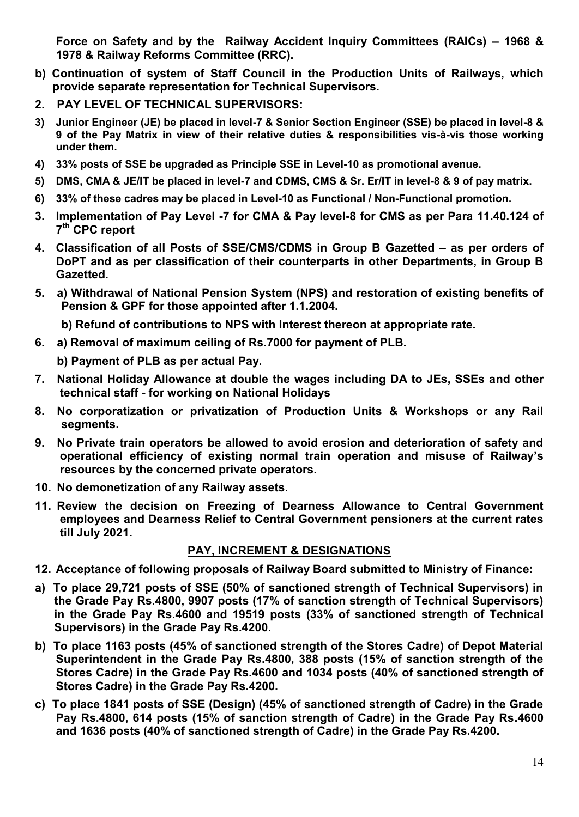**Force on Safety and by the Railway Accident Inquiry Committees (RAICs) – 1968 & 1978 & Railway Reforms Committee (RRC).** 

- **b) Continuation of system of Staff Council in the Production Units of Railways, which provide separate representation for Technical Supervisors.**
- **2. PAY LEVEL OF TECHNICAL SUPERVISORS:**
- **3) Junior Engineer (JE) be placed in level-7 & Senior Section Engineer (SSE) be placed in level-8 & 9 of the Pay Matrix in view of their relative duties & responsibilities vis-à-vis those working under them.**
- **4) 33% posts of SSE be upgraded as Principle SSE in Level-10 as promotional avenue.**
- **5) DMS, CMA & JE/IT be placed in level-7 and CDMS, CMS & Sr. Er/IT in level-8 & 9 of pay matrix.**
- **6) 33% of these cadres may be placed in Level-10 as Functional / Non-Functional promotion.**
- **3. Implementation of Pay Level -7 for CMA & Pay level-8 for CMS as per Para 11.40.124 of 7 th CPC report**
- **4. Classification of all Posts of SSE/CMS/CDMS in Group B Gazetted – as per orders of DoPT and as per classification of their counterparts in other Departments, in Group B Gazetted.**
- **5. a) Withdrawal of National Pension System (NPS) and restoration of existing benefits of Pension & GPF for those appointed after 1.1.2004.** 
	- **b) Refund of contributions to NPS with Interest thereon at appropriate rate.**
- **6. a) Removal of maximum ceiling of Rs.7000 for payment of PLB.**

**b) Payment of PLB as per actual Pay.** 

- **7. National Holiday Allowance at double the wages including DA to JEs, SSEs and other technical staff - for working on National Holidays**
- **8. No corporatization or privatization of Production Units & Workshops or any Rail segments.**
- **9. No Private train operators be allowed to avoid erosion and deterioration of safety and operational efficiency of existing normal train operation and misuse of Railway's resources by the concerned private operators.**
- **10. No demonetization of any Railway assets.**
- **11. Review the decision on Freezing of Dearness Allowance to Central Government employees and Dearness Relief to Central Government pensioners at the current rates till July 2021.**

#### **PAY, INCREMENT & DESIGNATIONS**

- **12. Acceptance of following proposals of Railway Board submitted to Ministry of Finance:**
- **a) To place 29,721 posts of SSE (50% of sanctioned strength of Technical Supervisors) in the Grade Pay Rs.4800, 9907 posts (17% of sanction strength of Technical Supervisors) in the Grade Pay Rs.4600 and 19519 posts (33% of sanctioned strength of Technical Supervisors) in the Grade Pay Rs.4200.**
- **b) To place 1163 posts (45% of sanctioned strength of the Stores Cadre) of Depot Material Superintendent in the Grade Pay Rs.4800, 388 posts (15% of sanction strength of the Stores Cadre) in the Grade Pay Rs.4600 and 1034 posts (40% of sanctioned strength of Stores Cadre) in the Grade Pay Rs.4200.**
- **c) To place 1841 posts of SSE (Design) (45% of sanctioned strength of Cadre) in the Grade Pay Rs.4800, 614 posts (15% of sanction strength of Cadre) in the Grade Pay Rs.4600 and 1636 posts (40% of sanctioned strength of Cadre) in the Grade Pay Rs.4200.**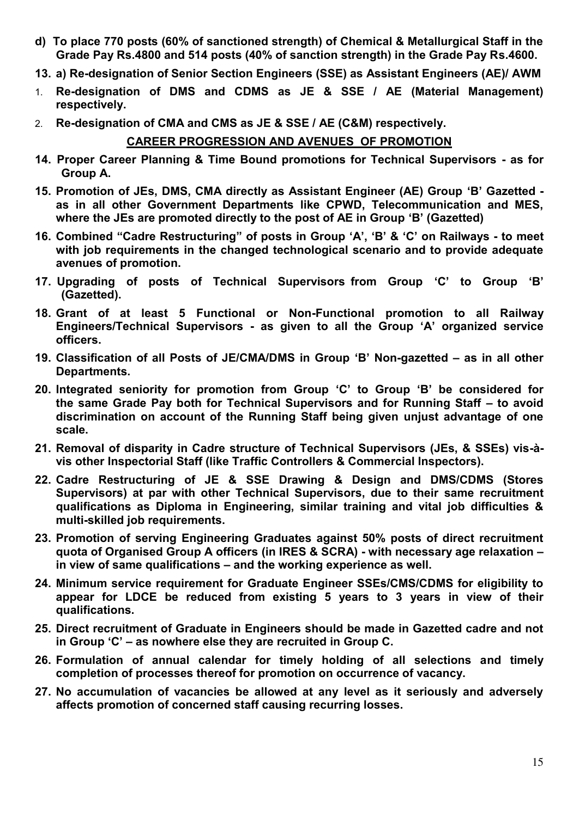- **d) To place 770 posts (60% of sanctioned strength) of Chemical & Metallurgical Staff in the Grade Pay Rs.4800 and 514 posts (40% of sanction strength) in the Grade Pay Rs.4600.**
- **13. a) Re-designation of Senior Section Engineers (SSE) as Assistant Engineers (AE)/ AWM**
- 1. **Re-designation of DMS and CDMS as JE & SSE / AE (Material Management) respectively.**
- 2. **Re-designation of CMA and CMS as JE & SSE / AE (C&M) respectively.**

# **CAREER PROGRESSION AND AVENUES OF PROMOTION**

- **14. Proper Career Planning & Time Bound promotions for Technical Supervisors as for Group A.**
- **15. Promotion of JEs, DMS, CMA directly as Assistant Engineer (AE) Group 'B' Gazetted as in all other Government Departments like CPWD, Telecommunication and MES, where the JEs are promoted directly to the post of AE in Group 'B' (Gazetted)**
- **16. Combined "Cadre Restructuring" of posts in Group 'A', 'B' & 'C' on Railways to meet with job requirements in the changed technological scenario and to provide adequate avenues of promotion.**
- **17. Upgrading of posts of Technical Supervisors from Group 'C' to Group 'B' (Gazetted).**
- **18. Grant of at least 5 Functional or Non-Functional promotion to all Railway Engineers/Technical Supervisors - as given to all the Group 'A' organized service officers.**
- **19. Classification of all Posts of JE/CMA/DMS in Group 'B' Non-gazetted – as in all other Departments.**
- **20. Integrated seniority for promotion from Group 'C' to Group 'B' be considered for the same Grade Pay both for Technical Supervisors and for Running Staff – to avoid discrimination on account of the Running Staff being given unjust advantage of one scale.**
- **21. Removal of disparity in Cadre structure of Technical Supervisors (JEs, & SSEs) vis-àvis other Inspectorial Staff (like Traffic Controllers & Commercial Inspectors).**
- **22. Cadre Restructuring of JE & SSE Drawing & Design and DMS/CDMS (Stores Supervisors) at par with other Technical Supervisors, due to their same recruitment qualifications as Diploma in Engineering, similar training and vital job difficulties & multi-skilled job requirements.**
- **23. Promotion of serving Engineering Graduates against 50% posts of direct recruitment quota of Organised Group A officers (in IRES & SCRA) - with necessary age relaxation – in view of same qualifications – and the working experience as well.**
- **24. Minimum service requirement for Graduate Engineer SSEs/CMS/CDMS for eligibility to appear for LDCE be reduced from existing 5 years to 3 years in view of their qualifications.**
- **25. Direct recruitment of Graduate in Engineers should be made in Gazetted cadre and not in Group 'C' – as nowhere else they are recruited in Group C.**
- **26. Formulation of annual calendar for timely holding of all selections and timely completion of processes thereof for promotion on occurrence of vacancy.**
- **27. No accumulation of vacancies be allowed at any level as it seriously and adversely affects promotion of concerned staff causing recurring losses.**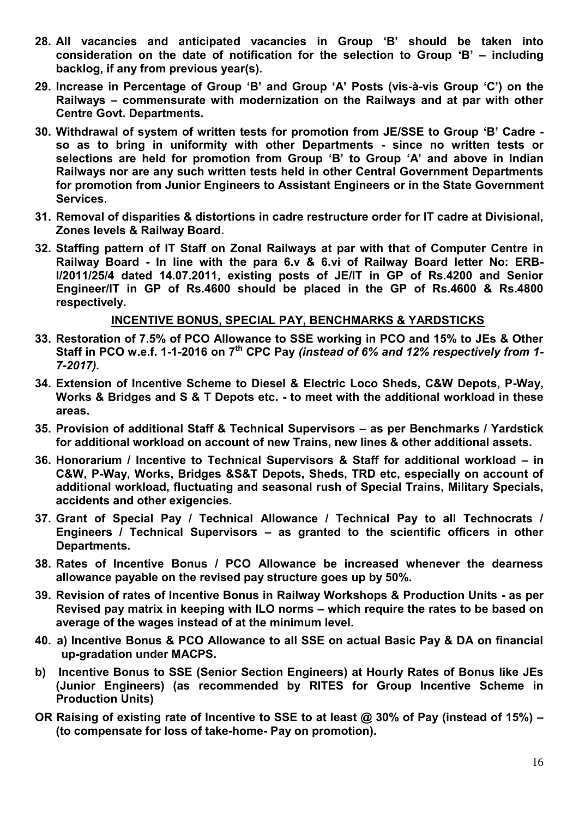- **28. All vacancies and anticipated vacancies in Group 'B' should be taken into consideration on the date of notification for the selection to Group 'B' – including backlog, if any from previous year(s).**
- **29. Increase in Percentage of Group 'B' and Group 'A' Posts (vis-à-vis Group 'C') on the Railways – commensurate with modernization on the Railways and at par with other Centre Govt. Departments.**
- **30. Withdrawal of system of written tests for promotion from JE/SSE to Group 'B' Cadre so as to bring in uniformity with other Departments - since no written tests or selections are held for promotion from Group 'B' to Group 'A' and above in Indian Railways nor are any such written tests held in other Central Government Departments for promotion from Junior Engineers to Assistant Engineers or in the State Government Services.**
- **31. Removal of disparities & distortions in cadre restructure order for IT cadre at Divisional, Zones levels & Railway Board.**
- **32. Staffing pattern of IT Staff on Zonal Railways at par with that of Computer Centre in Railway Board - In line with the para 6.v & 6.vi of Railway Board letter No: ERB-I/2011/25/4 dated 14.07.2011, existing posts of JE/IT in GP of Rs.4200 and Senior Engineer/IT in GP of Rs.4600 should be placed in the GP of Rs.4600 & Rs.4800 respectively.**

#### **INCENTIVE BONUS, SPECIAL PAY, BENCHMARKS & YARDSTICKS**

- **33. Restoration of 7.5% of PCO Allowance to SSE working in PCO and 15% to JEs & Other Staff in PCO w.e.f. 1-1-2016 on 7th CPC Pay** *(instead of 6% and 12% respectively from 1- 7-2017).*
- **34. Extension of Incentive Scheme to Diesel & Electric Loco Sheds, C&W Depots, P-Way, Works & Bridges and S & T Depots etc. - to meet with the additional workload in these areas.**
- **35. Provision of additional Staff & Technical Supervisors – as per Benchmarks / Yardstick for additional workload on account of new Trains, new lines & other additional assets.**
- **36. Honorarium / Incentive to Technical Supervisors & Staff for additional workload – in C&W, P-Way, Works, Bridges &S&T Depots, Sheds, TRD etc, especially on account of additional workload, fluctuating and seasonal rush of Special Trains, Military Specials, accidents and other exigencies.**
- **37. Grant of Special Pay / Technical Allowance / Technical Pay to all Technocrats / Engineers / Technical Supervisors – as granted to the scientific officers in other Departments.**
- **38. Rates of Incentive Bonus / PCO Allowance be increased whenever the dearness allowance payable on the revised pay structure goes up by 50%.**
- **39. Revision of rates of Incentive Bonus in Railway Workshops & Production Units as per Revised pay matrix in keeping with ILO norms – which require the rates to be based on average of the wages instead of at the minimum level.**
- **40. a) Incentive Bonus & PCO Allowance to all SSE on actual Basic Pay & DA on financial up-gradation under MACPS.**
- **b) Incentive Bonus to SSE (Senior Section Engineers) at Hourly Rates of Bonus like JEs (Junior Engineers) (as recommended by RITES for Group Incentive Scheme in Production Units)**
- **OR Raising of existing rate of Incentive to SSE to at least @ 30% of Pay (instead of 15%) – (to compensate for loss of take-home- Pay on promotion).**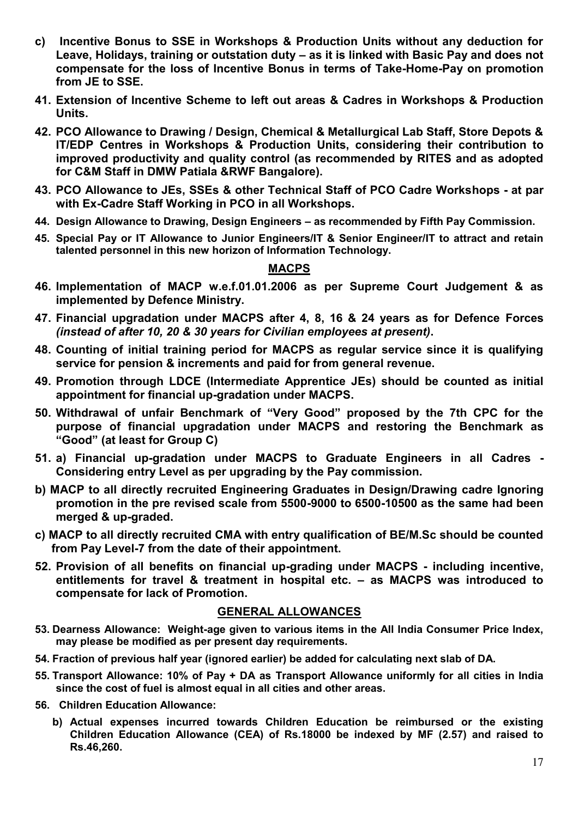- **c) Incentive Bonus to SSE in Workshops & Production Units without any deduction for Leave, Holidays, training or outstation duty – as it is linked with Basic Pay and does not compensate for the loss of Incentive Bonus in terms of Take-Home-Pay on promotion from JE to SSE.**
- **41. Extension of Incentive Scheme to left out areas & Cadres in Workshops & Production Units.**
- **42. PCO Allowance to Drawing / Design, Chemical & Metallurgical Lab Staff, Store Depots & IT/EDP Centres in Workshops & Production Units, considering their contribution to improved productivity and quality control (as recommended by RITES and as adopted for C&M Staff in DMW Patiala &RWF Bangalore).**
- **43. PCO Allowance to JEs, SSEs & other Technical Staff of PCO Cadre Workshops at par with Ex-Cadre Staff Working in PCO in all Workshops.**
- **44. Design Allowance to Drawing, Design Engineers – as recommended by Fifth Pay Commission.**
- **45. Special Pay or IT Allowance to Junior Engineers/IT & Senior Engineer/IT to attract and retain talented personnel in this new horizon of Information Technology.**

#### **MACPS**

- **46. Implementation of MACP w.e.f.01.01.2006 as per Supreme Court Judgement & as implemented by Defence Ministry.**
- **47. Financial upgradation under MACPS after 4, 8, 16 & 24 years as for Defence Forces**  *(instead of after 10, 20 & 30 years for Civilian employees at present)***.**
- **48. Counting of initial training period for MACPS as regular service since it is qualifying service for pension & increments and paid for from general revenue.**
- **49. Promotion through LDCE (Intermediate Apprentice JEs) should be counted as initial appointment for financial up-gradation under MACPS.**
- **50. Withdrawal of unfair Benchmark of "Very Good" proposed by the 7th CPC for the purpose of financial upgradation under MACPS and restoring the Benchmark as "Good" (at least for Group C)**
- **51. a) Financial up-gradation under MACPS to Graduate Engineers in all Cadres Considering entry Level as per upgrading by the Pay commission.**
- **b) MACP to all directly recruited Engineering Graduates in Design/Drawing cadre Ignoring promotion in the pre revised scale from 5500-9000 to 6500-10500 as the same had been merged & up-graded.**
- **c) MACP to all directly recruited CMA with entry qualification of BE/M.Sc should be counted from Pay Level-7 from the date of their appointment.**
- **52. Provision of all benefits on financial up-grading under MACPS including incentive, entitlements for travel & treatment in hospital etc. – as MACPS was introduced to compensate for lack of Promotion.**

#### **GENERAL ALLOWANCES**

- **53. Dearness Allowance: Weight-age given to various items in the All India Consumer Price Index, may please be modified as per present day requirements.**
- **54. Fraction of previous half year (ignored earlier) be added for calculating next slab of DA.**
- **55. Transport Allowance: 10% of Pay + DA as Transport Allowance uniformly for all cities in India since the cost of fuel is almost equal in all cities and other areas.**
- **56. Children Education Allowance:** 
	- **b) Actual expenses incurred towards Children Education be reimbursed or the existing Children Education Allowance (CEA) of Rs.18000 be indexed by MF (2.57) and raised to Rs.46,260.**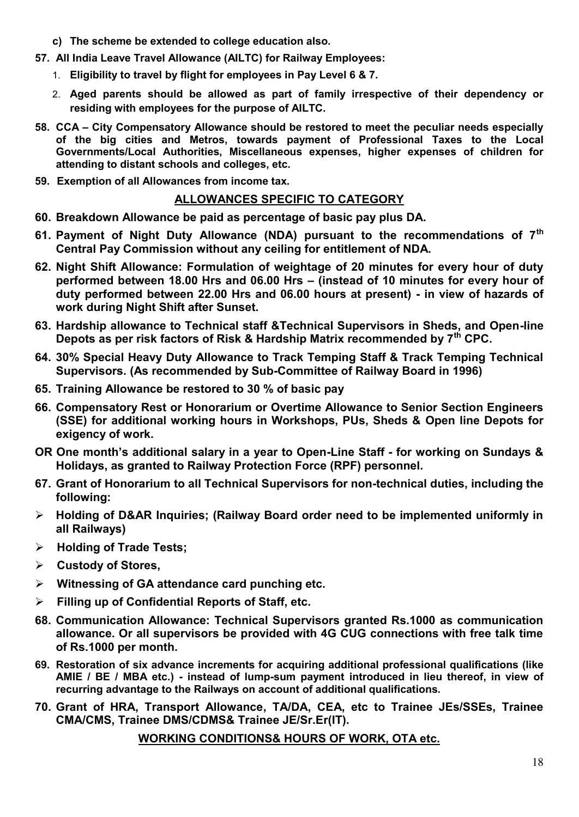- **c) The scheme be extended to college education also.**
- **57. All India Leave Travel Allowance (AILTC) for Railway Employees:** 
	- 1. **Eligibility to travel by flight for employees in Pay Level 6 & 7.**
	- 2. **Aged parents should be allowed as part of family irrespective of their dependency or residing with employees for the purpose of AILTC.**
- **58. CCA – City Compensatory Allowance should be restored to meet the peculiar needs especially of the big cities and Metros, towards payment of Professional Taxes to the Local Governments/Local Authorities, Miscellaneous expenses, higher expenses of children for attending to distant schools and colleges, etc.**
- **59. Exemption of all Allowances from income tax.**

#### **ALLOWANCES SPECIFIC TO CATEGORY**

- **60. Breakdown Allowance be paid as percentage of basic pay plus DA.**
- **61. Payment of Night Duty Allowance (NDA) pursuant to the recommendations of 7th Central Pay Commission without any ceiling for entitlement of NDA.**
- **62. Night Shift Allowance: Formulation of weightage of 20 minutes for every hour of duty performed between 18.00 Hrs and 06.00 Hrs – (instead of 10 minutes for every hour of duty performed between 22.00 Hrs and 06.00 hours at present) - in view of hazards of work during Night Shift after Sunset.**
- **63. Hardship allowance to Technical staff &Technical Supervisors in Sheds, and Open-line Depots as per risk factors of Risk & Hardship Matrix recommended by 7th CPC.**
- **64. 30% Special Heavy Duty Allowance to Track Temping Staff & Track Temping Technical Supervisors. (As recommended by Sub-Committee of Railway Board in 1996)**
- **65. Training Allowance be restored to 30 % of basic pay**
- **66. Compensatory Rest or Honorarium or Overtime Allowance to Senior Section Engineers (SSE) for additional working hours in Workshops, PUs, Sheds & Open line Depots for exigency of work.**
- **OR One month's additional salary in a year to Open-Line Staff for working on Sundays & Holidays, as granted to Railway Protection Force (RPF) personnel.**
- **67. Grant of Honorarium to all Technical Supervisors for non-technical duties, including the following:**
- **Holding of D&AR Inquiries; (Railway Board order need to be implemented uniformly in all Railways)**
- **Holding of Trade Tests;**
- **Custody of Stores,**
- **Witnessing of GA attendance card punching etc.**
- **Filling up of Confidential Reports of Staff, etc.**
- **68. Communication Allowance: Technical Supervisors granted Rs.1000 as communication allowance. Or all supervisors be provided with 4G CUG connections with free talk time of Rs.1000 per month.**
- **69. Restoration of six advance increments for acquiring additional professional qualifications (like AMIE / BE / MBA etc.) - instead of lump-sum payment introduced in lieu thereof, in view of recurring advantage to the Railways on account of additional qualifications.**
- **70. Grant of HRA, Transport Allowance, TA/DA, CEA, etc to Trainee JEs/SSEs, Trainee CMA/CMS, Trainee DMS/CDMS& Trainee JE/Sr.Er(IT).**

**WORKING CONDITIONS& HOURS OF WORK, OTA etc.**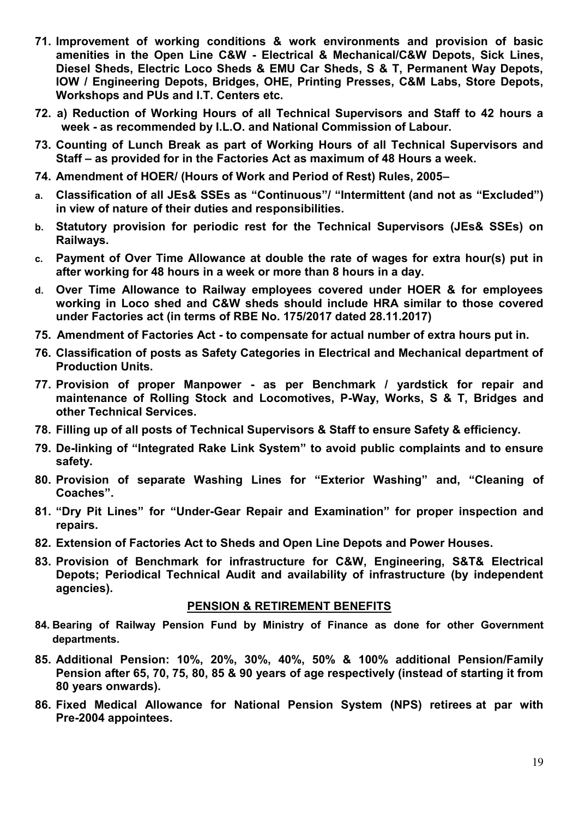- **71. Improvement of working conditions & work environments and provision of basic amenities in the Open Line C&W - Electrical & Mechanical/C&W Depots, Sick Lines, Diesel Sheds, Electric Loco Sheds & EMU Car Sheds, S & T, Permanent Way Depots, IOW / Engineering Depots, Bridges, OHE, Printing Presses, C&M Labs, Store Depots, Workshops and PUs and I.T. Centers etc.**
- **72. a) Reduction of Working Hours of all Technical Supervisors and Staff to 42 hours a week - as recommended by I.L.O. and National Commission of Labour.**
- **73. Counting of Lunch Break as part of Working Hours of all Technical Supervisors and Staff – as provided for in the Factories Act as maximum of 48 Hours a week.**
- **74. Amendment of HOER/ (Hours of Work and Period of Rest) Rules, 2005–**
- **a. Classification of all JEs& SSEs as "Continuous"/ "Intermittent (and not as "Excluded") in view of nature of their duties and responsibilities.**
- **b. Statutory provision for periodic rest for the Technical Supervisors (JEs& SSEs) on Railways.**
- **c. Payment of Over Time Allowance at double the rate of wages for extra hour(s) put in after working for 48 hours in a week or more than 8 hours in a day.**
- **d. Over Time Allowance to Railway employees covered under HOER & for employees working in Loco shed and C&W sheds should include HRA similar to those covered under Factories act (in terms of RBE No. 175/2017 dated 28.11.2017)**
- **75. Amendment of Factories Act to compensate for actual number of extra hours put in.**
- **76. Classification of posts as Safety Categories in Electrical and Mechanical department of Production Units.**
- **77. Provision of proper Manpower as per Benchmark / yardstick for repair and maintenance of Rolling Stock and Locomotives, P-Way, Works, S & T, Bridges and other Technical Services.**
- **78. Filling up of all posts of Technical Supervisors & Staff to ensure Safety & efficiency.**
- **79. De-linking of "Integrated Rake Link System" to avoid public complaints and to ensure safety.**
- **80. Provision of separate Washing Lines for "Exterior Washing" and, "Cleaning of Coaches".**
- **81. "Dry Pit Lines" for "Under-Gear Repair and Examination" for proper inspection and repairs.**
- **82. Extension of Factories Act to Sheds and Open Line Depots and Power Houses.**
- **83. Provision of Benchmark for infrastructure for C&W, Engineering, S&T& Electrical Depots; Periodical Technical Audit and availability of infrastructure (by independent agencies).**

#### **PENSION & RETIREMENT BENEFITS**

- **84. Bearing of Railway Pension Fund by Ministry of Finance as done for other Government departments.**
- **85. Additional Pension: 10%, 20%, 30%, 40%, 50% & 100% additional Pension/Family Pension after 65, 70, 75, 80, 85 & 90 years of age respectively (instead of starting it from 80 years onwards).**
- **86. Fixed Medical Allowance for National Pension System (NPS) retirees at par with Pre-2004 appointees.**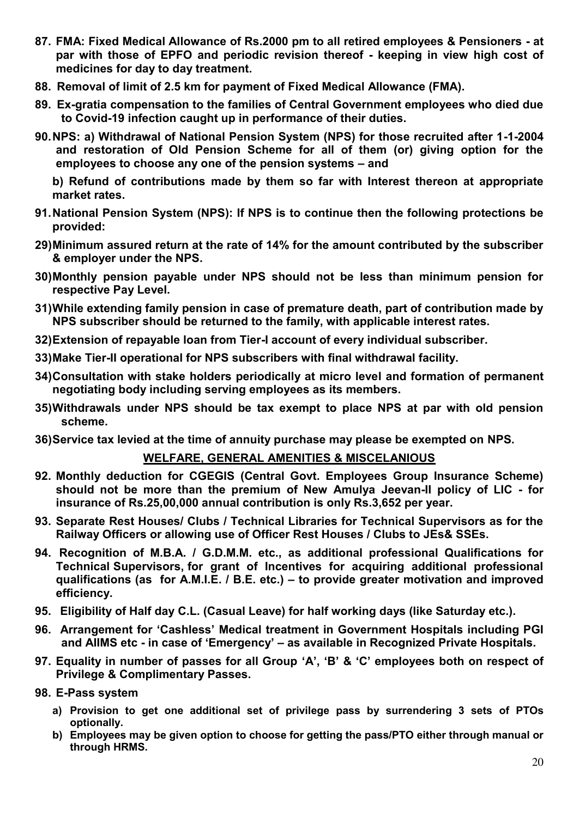- **87. FMA: Fixed Medical Allowance of Rs.2000 pm to all retired employees & Pensioners at par with those of EPFO and periodic revision thereof - keeping in view high cost of medicines for day to day treatment.**
- **88. Removal of limit of 2.5 km for payment of Fixed Medical Allowance (FMA).**
- **89. Ex-gratia compensation to the families of Central Government employees who died due to Covid-19 infection caught up in performance of their duties.**
- **90. NPS: a) Withdrawal of National Pension System (NPS) for those recruited after 1-1-2004 and restoration of Old Pension Scheme for all of them (or) giving option for the employees to choose any one of the pension systems – and**

 **b) Refund of contributions made by them so far with Interest thereon at appropriate market rates.** 

- **91. National Pension System (NPS): If NPS is to continue then the following protections be provided:**
- **29) Minimum assured return at the rate of 14% for the amount contributed by the subscriber & employer under the NPS.**
- **30) Monthly pension payable under NPS should not be less than minimum pension for respective Pay Level.**
- **31) While extending family pension in case of premature death, part of contribution made by NPS subscriber should be returned to the family, with applicable interest rates.**
- **32) Extension of repayable loan from Tier-I account of every individual subscriber.**
- **33) Make Tier-II operational for NPS subscribers with final withdrawal facility.**
- **34) Consultation with stake holders periodically at micro level and formation of permanent negotiating body including serving employees as its members.**
- **35) Withdrawals under NPS should be tax exempt to place NPS at par with old pension scheme.**
- **36) Service tax levied at the time of annuity purchase may please be exempted on NPS.**

#### **WELFARE, GENERAL AMENITIES & MISCELANIOUS**

- **92. Monthly deduction for CGEGIS (Central Govt. Employees Group Insurance Scheme) should not be more than the premium of New Amulya Jeevan-II policy of LIC - for insurance of Rs.25,00,000 annual contribution is only Rs.3,652 per year.**
- **93. Separate Rest Houses/ Clubs / Technical Libraries for Technical Supervisors as for the Railway Officers or allowing use of Officer Rest Houses / Clubs to JEs& SSEs.**
- **94. Recognition of M.B.A. / G.D.M.M. etc., as additional professional Qualifications for Technical Supervisors, for grant of Incentives for acquiring additional professional qualifications (as for A.M.I.E. / B.E. etc.) – to provide greater motivation and improved efficiency.**
- **95. Eligibility of Half day C.L. (Casual Leave) for half working days (like Saturday etc.).**
- **96. Arrangement for 'Cashless' Medical treatment in Government Hospitals including PGI and AIIMS etc - in case of 'Emergency' – as available in Recognized Private Hospitals.**
- **97. Equality in number of passes for all Group 'A', 'B' & 'C' employees both on respect of Privilege & Complimentary Passes.**
- **98. E-Pass system** 
	- **a) Provision to get one additional set of privilege pass by surrendering 3 sets of PTOs optionally.**
	- **b) Employees may be given option to choose for getting the pass/PTO either through manual or through HRMS.**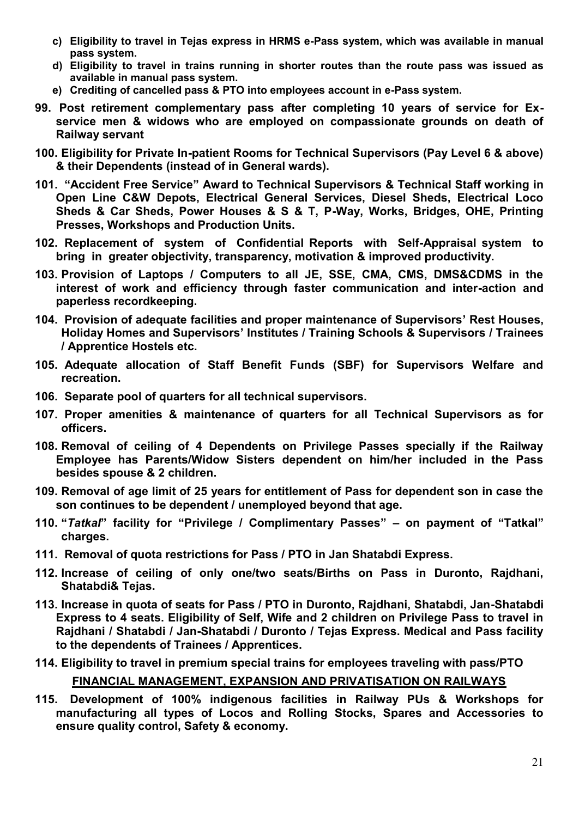- **c) Eligibility to travel in Tejas express in HRMS e-Pass system, which was available in manual pass system.**
- **d) Eligibility to travel in trains running in shorter routes than the route pass was issued as available in manual pass system.**
- **e) Crediting of cancelled pass & PTO into employees account in e-Pass system.**
- **99. Post retirement complementary pass after completing 10 years of service for Exservice men & widows who are employed on compassionate grounds on death of Railway servant**
- **100. Eligibility for Private In-patient Rooms for Technical Supervisors (Pay Level 6 & above) & their Dependents (instead of in General wards).**
- **101. "Accident Free Service" Award to Technical Supervisors & Technical Staff working in Open Line C&W Depots, Electrical General Services, Diesel Sheds, Electrical Loco Sheds & Car Sheds, Power Houses & S & T, P-Way, Works, Bridges, OHE, Printing Presses, Workshops and Production Units.**
- **102. Replacement of system of Confidential Reports with Self-Appraisal system to bring in greater objectivity, transparency, motivation & improved productivity.**
- **103. Provision of Laptops / Computers to all JE, SSE, CMA, CMS, DMS&CDMS in the interest of work and efficiency through faster communication and inter-action and paperless recordkeeping.**
- **104. Provision of adequate facilities and proper maintenance of Supervisors' Rest Houses, Holiday Homes and Supervisors' Institutes / Training Schools & Supervisors / Trainees / Apprentice Hostels etc.**
- **105. Adequate allocation of Staff Benefit Funds (SBF) for Supervisors Welfare and recreation.**
- **106. Separate pool of quarters for all technical supervisors.**
- **107. Proper amenities & maintenance of quarters for all Technical Supervisors as for officers.**
- **108. Removal of ceiling of 4 Dependents on Privilege Passes specially if the Railway Employee has Parents/Widow Sisters dependent on him/her included in the Pass besides spouse & 2 children.**
- **109. Removal of age limit of 25 years for entitlement of Pass for dependent son in case the son continues to be dependent / unemployed beyond that age.**
- **110. "***Tatkal***" facility for "Privilege / Complimentary Passes" – on payment of "Tatkal" charges.**
- **111. Removal of quota restrictions for Pass / PTO in Jan Shatabdi Express.**
- **112. Increase of ceiling of only one/two seats/Births on Pass in Duronto, Rajdhani, Shatabdi& Tejas.**
- **113. Increase in quota of seats for Pass / PTO in Duronto, Rajdhani, Shatabdi, Jan-Shatabdi Express to 4 seats. Eligibility of Self, Wife and 2 children on Privilege Pass to travel in Rajdhani / Shatabdi / Jan-Shatabdi / Duronto / Tejas Express. Medical and Pass facility to the dependents of Trainees / Apprentices.**
- **114. Eligibility to travel in premium special trains for employees traveling with pass/PTO FINANCIAL MANAGEMENT, EXPANSION AND PRIVATISATION ON RAILWAYS**
- **115. Development of 100% indigenous facilities in Railway PUs & Workshops for manufacturing all types of Locos and Rolling Stocks, Spares and Accessories to ensure quality control, Safety & economy.**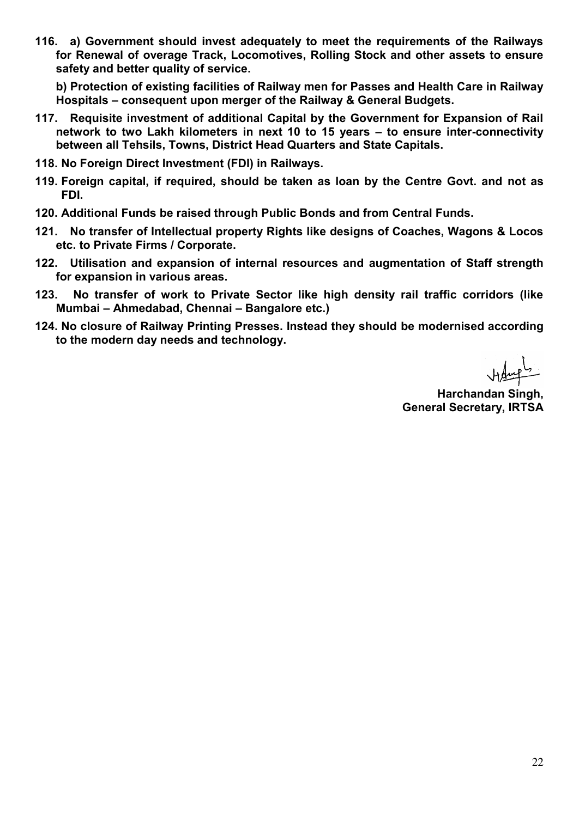**116. a) Government should invest adequately to meet the requirements of the Railways for Renewal of overage Track, Locomotives, Rolling Stock and other assets to ensure safety and better quality of service.** 

 **b) Protection of existing facilities of Railway men for Passes and Health Care in Railway Hospitals – consequent upon merger of the Railway & General Budgets.** 

- **117. Requisite investment of additional Capital by the Government for Expansion of Rail network to two Lakh kilometers in next 10 to 15 years – to ensure inter-connectivity between all Tehsils, Towns, District Head Quarters and State Capitals.**
- **118. No Foreign Direct Investment (FDI) in Railways.**
- **119. Foreign capital, if required, should be taken as loan by the Centre Govt. and not as FDI.**
- **120. Additional Funds be raised through Public Bonds and from Central Funds.**
- **121. No transfer of Intellectual property Rights like designs of Coaches, Wagons & Locos etc. to Private Firms / Corporate.**
- **122. Utilisation and expansion of internal resources and augmentation of Staff strength for expansion in various areas.**
- **123. No transfer of work to Private Sector like high density rail traffic corridors (like Mumbai – Ahmedabad, Chennai – Bangalore etc.)**
- **124. No closure of Railway Printing Presses. Instead they should be modernised according to the modern day needs and technology.**

**Harchandan Singh, General Secretary, IRTSA**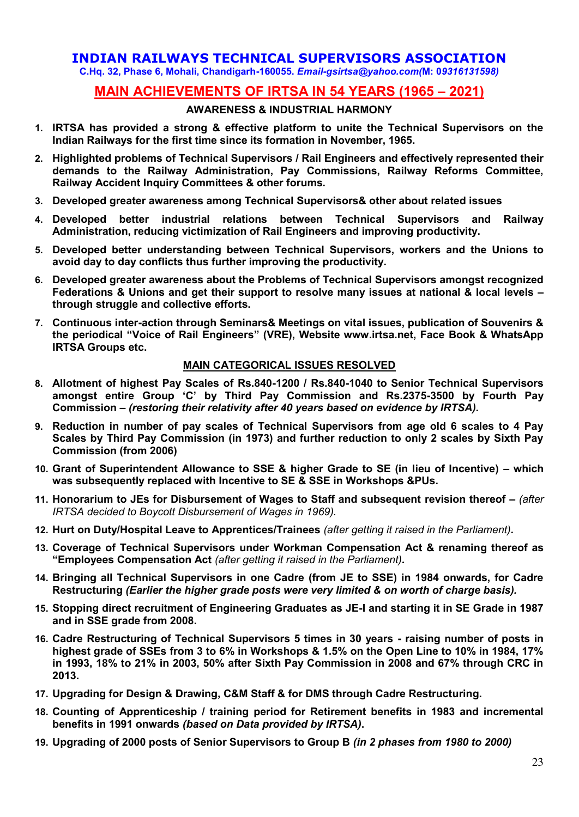## **INDIAN RAILWAYS TECHNICAL SUPERVISORS ASSOCIATION**

**C.Hq. 32, Phase 6, Mohali, Chandigarh-160055.** *Email-gsirtsa@yahoo.com(***M: 0***9316131598)*

# **MAIN ACHIEVEMENTS OF IRTSA IN 54 YEARS (1965 – 2021)**

#### **AWARENESS & INDUSTRIAL HARMONY**

- **1. IRTSA has provided a strong & effective platform to unite the Technical Supervisors on the Indian Railways for the first time since its formation in November, 1965.**
- **2. Highlighted problems of Technical Supervisors / Rail Engineers and effectively represented their demands to the Railway Administration, Pay Commissions, Railway Reforms Committee, Railway Accident Inquiry Committees & other forums.**
- **3. Developed greater awareness among Technical Supervisors& other about related issues**
- **4. Developed better industrial relations between Technical Supervisors and Railway Administration, reducing victimization of Rail Engineers and improving productivity.**
- **5. Developed better understanding between Technical Supervisors, workers and the Unions to avoid day to day conflicts thus further improving the productivity.**
- **6. Developed greater awareness about the Problems of Technical Supervisors amongst recognized Federations & Unions and get their support to resolve many issues at national & local levels – through struggle and collective efforts.**
- **7. Continuous inter-action through Seminars& Meetings on vital issues, publication of Souvenirs & the periodical "Voice of Rail Engineers" (VRE), Website www.irtsa.net, Face Book & WhatsApp IRTSA Groups etc.**

#### **MAIN CATEGORICAL ISSUES RESOLVED**

- **8. Allotment of highest Pay Scales of Rs.840-1200 / Rs.840-1040 to Senior Technical Supervisors amongst entire Group 'C' by Third Pay Commission and Rs.2375-3500 by Fourth Pay Commission** *– (restoring their relativity after 40 years based on evidence by IRTSA).*
- **9. Reduction in number of pay scales of Technical Supervisors from age old 6 scales to 4 Pay Scales by Third Pay Commission (in 1973) and further reduction to only 2 scales by Sixth Pay Commission (from 2006)**
- **10. Grant of Superintendent Allowance to SSE & higher Grade to SE (in lieu of Incentive) – which was subsequently replaced with Incentive to SE & SSE in Workshops &PUs.**
- 11. Honorarium to JEs for Disbursement of Wages to Staff and subsequent revision thereof (after *IRTSA decided to Boycott Disbursement of Wages in 1969).*
- **12. Hurt on Duty/Hospital Leave to Apprentices/Trainees** *(after getting it raised in the Parliament).*
- **13. Coverage of Technical Supervisors under Workman Compensation Act & renaming thereof as "Employees Compensation Act** *(after getting it raised in the Parliament).*
- **14. Bringing all Technical Supervisors in one Cadre (from JE to SSE) in 1984 onwards, for Cadre Restructuring** *(Earlier the higher grade posts were very limited & on worth of charge basis).*
- **15. Stopping direct recruitment of Engineering Graduates as JE-I and starting it in SE Grade in 1987 and in SSE grade from 2008.**
- **16. Cadre Restructuring of Technical Supervisors 5 times in 30 years raising number of posts in highest grade of SSEs from 3 to 6% in Workshops & 1.5% on the Open Line to 10% in 1984, 17% in 1993, 18% to 21% in 2003, 50% after Sixth Pay Commission in 2008 and 67% through CRC in 2013.**
- **17. Upgrading for Design & Drawing, C&M Staff & for DMS through Cadre Restructuring.**
- **18. Counting of Apprenticeship / training period for Retirement benefits in 1983 and incremental benefits in 1991 onwards** *(based on Data provided by IRTSA)***.**
- **19. Upgrading of 2000 posts of Senior Supervisors to Group B** *(in 2 phases from 1980 to 2000)*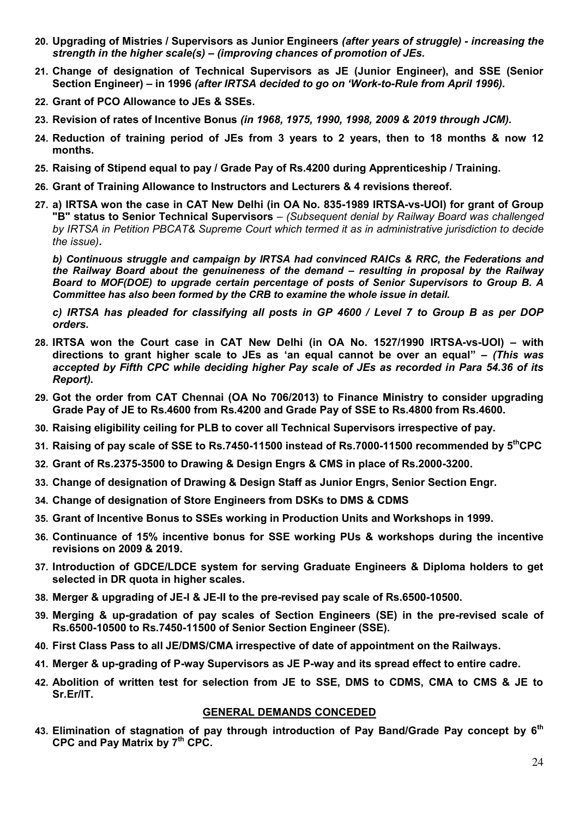- **20. Upgrading of Mistries / Supervisors as Junior Engineers** *(after years of struggle) increasing the strength in the higher scale(s) – (improving chances of promotion of JEs.*
- **21. Change of designation of Technical Supervisors as JE (Junior Engineer), and SSE (Senior Section Engineer) – in 1996** *(after IRTSA decided to go on 'Work-to-Rule from April 1996).*
- **22. Grant of PCO Allowance to JEs & SSEs.**
- **23. Revision of rates of Incentive Bonus** *(in 1968, 1975, 1990, 1998, 2009 & 2019 through JCM).*
- **24. Reduction of training period of JEs from 3 years to 2 years, then to 18 months & now 12 months.**
- **25. Raising of Stipend equal to pay / Grade Pay of Rs.4200 during Apprenticeship / Training.**
- **26. Grant of Training Allowance to Instructors and Lecturers & 4 revisions thereof.**
- **27. a) IRTSA won the case in CAT New Delhi (in OA No. 835-1989 IRTSA-vs-UOI) for grant of Group "B" status to Senior Technical Supervisors** *– (Subsequent denial by Railway Board was challenged by IRTSA in Petition PBCAT& Supreme Court which termed it as in administrative jurisdiction to decide the issue)***.**

*b) Continuous struggle and campaign by IRTSA had convinced RAICs & RRC, the Federations and the Railway Board about the genuineness of the demand – resulting in proposal by the Railway Board to MOF(DOE) to upgrade certain percentage of posts of Senior Supervisors to Group B. A Committee has also been formed by the CRB to examine the whole issue in detail.* 

*c) IRTSA has pleaded for classifying all posts in GP 4600 / Level 7 to Group B as per DOP orders.* 

- **28. IRTSA won the Court case in CAT New Delhi (in OA No. 1527/1990 IRTSA-vs-UOI) – with directions to grant higher scale to JEs as 'an equal cannot be over an equal"** *– (This was accepted by Fifth CPC while deciding higher Pay scale of JEs as recorded in Para 54.36 of its Report).*
- **29. Got the order from CAT Chennai (OA No 706/2013) to Finance Ministry to consider upgrading Grade Pay of JE to Rs.4600 from Rs.4200 and Grade Pay of SSE to Rs.4800 from Rs.4600.**
- **30. Raising eligibility ceiling for PLB to cover all Technical Supervisors irrespective of pay.**
- **31. Raising of pay scale of SSE to Rs.7450-11500 instead of Rs.7000-11500 recommended by 5thCPC**
- **32. Grant of Rs.2375-3500 to Drawing & Design Engrs & CMS in place of Rs.2000-3200.**
- **33. Change of designation of Drawing & Design Staff as Junior Engrs, Senior Section Engr.**
- **34. Change of designation of Store Engineers from DSKs to DMS & CDMS**
- **35. Grant of Incentive Bonus to SSEs working in Production Units and Workshops in 1999.**
- **36. Continuance of 15% incentive bonus for SSE working PUs & workshops during the incentive revisions on 2009 & 2019.**
- **37. Introduction of GDCE/LDCE system for serving Graduate Engineers & Diploma holders to get selected in DR quota in higher scales.**
- **38. Merger & upgrading of JE-I & JE-II to the pre-revised pay scale of Rs.6500-10500.**
- **39. Merging & up-gradation of pay scales of Section Engineers (SE) in the pre-revised scale of Rs.6500-10500 to Rs.7450-11500 of Senior Section Engineer (SSE).**
- **40. First Class Pass to all JE/DMS/CMA irrespective of date of appointment on the Railways.**
- **41. Merger & up-grading of P-way Supervisors as JE P-way and its spread effect to entire cadre.**
- **42. Abolition of written test for selection from JE to SSE, DMS to CDMS, CMA to CMS & JE to Sr.Er/IT.**

#### **GENERAL DEMANDS CONCEDED**

**43. Elimination of stagnation of pay through introduction of Pay Band/Grade Pay concept by 6th CPC and Pay Matrix by 7th CPC.**